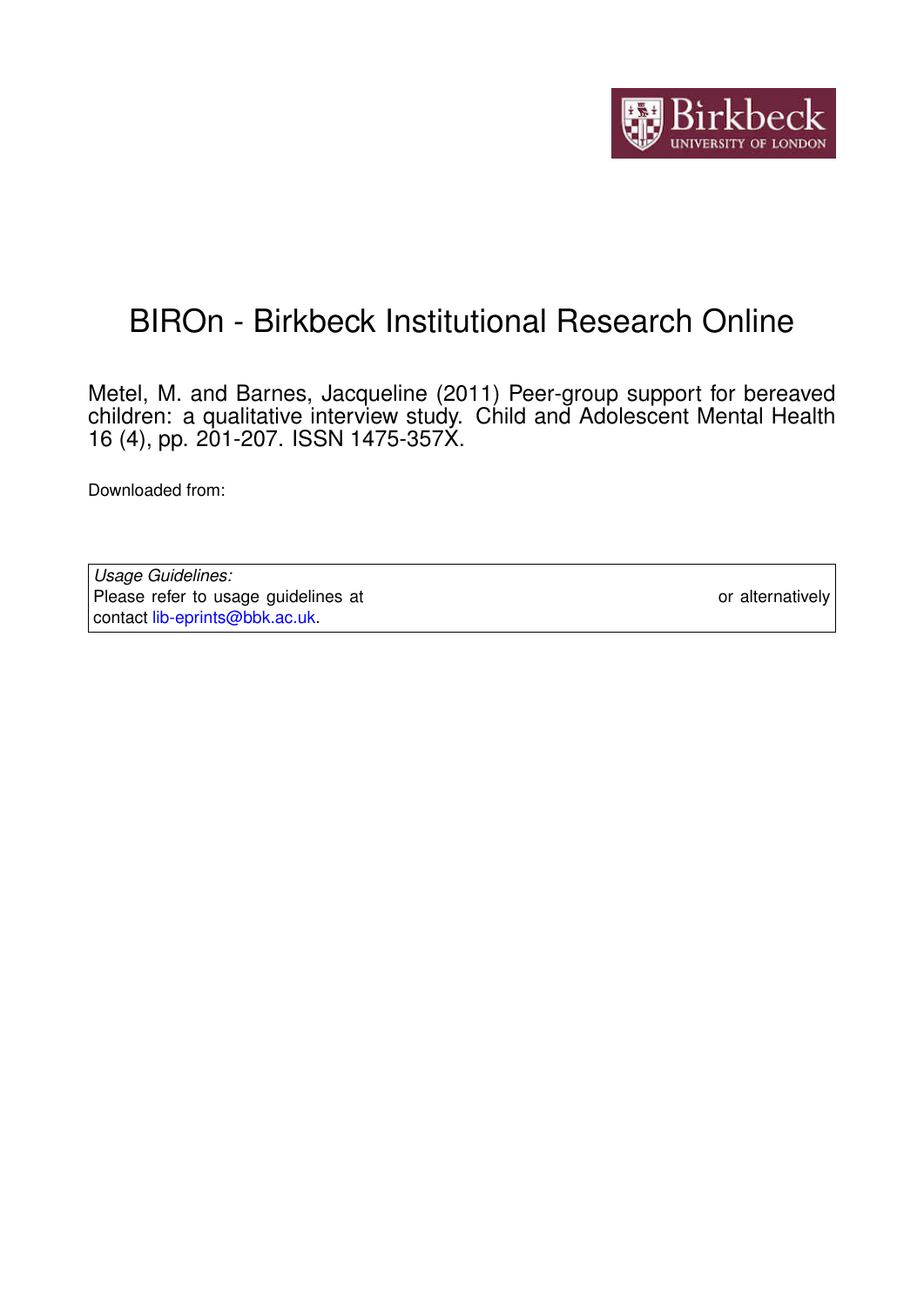

# BIROn - Birkbeck Institutional Research Online

Metel, M. and Barnes, Jacqueline (2011) Peer-group support for bereaved children: a qualitative interview study. Child and Adolescent Mental Health 16 (4), pp. 201-207. ISSN 1475-357X.

Downloaded from: <https://eprints.bbk.ac.uk/id/eprint/5622/>

*Usage Guidelines:* Please refer to usage guidelines at <https://eprints.bbk.ac.uk/policies.html> or alternatively contact [lib-eprints@bbk.ac.uk.](mailto:lib-eprints@bbk.ac.uk)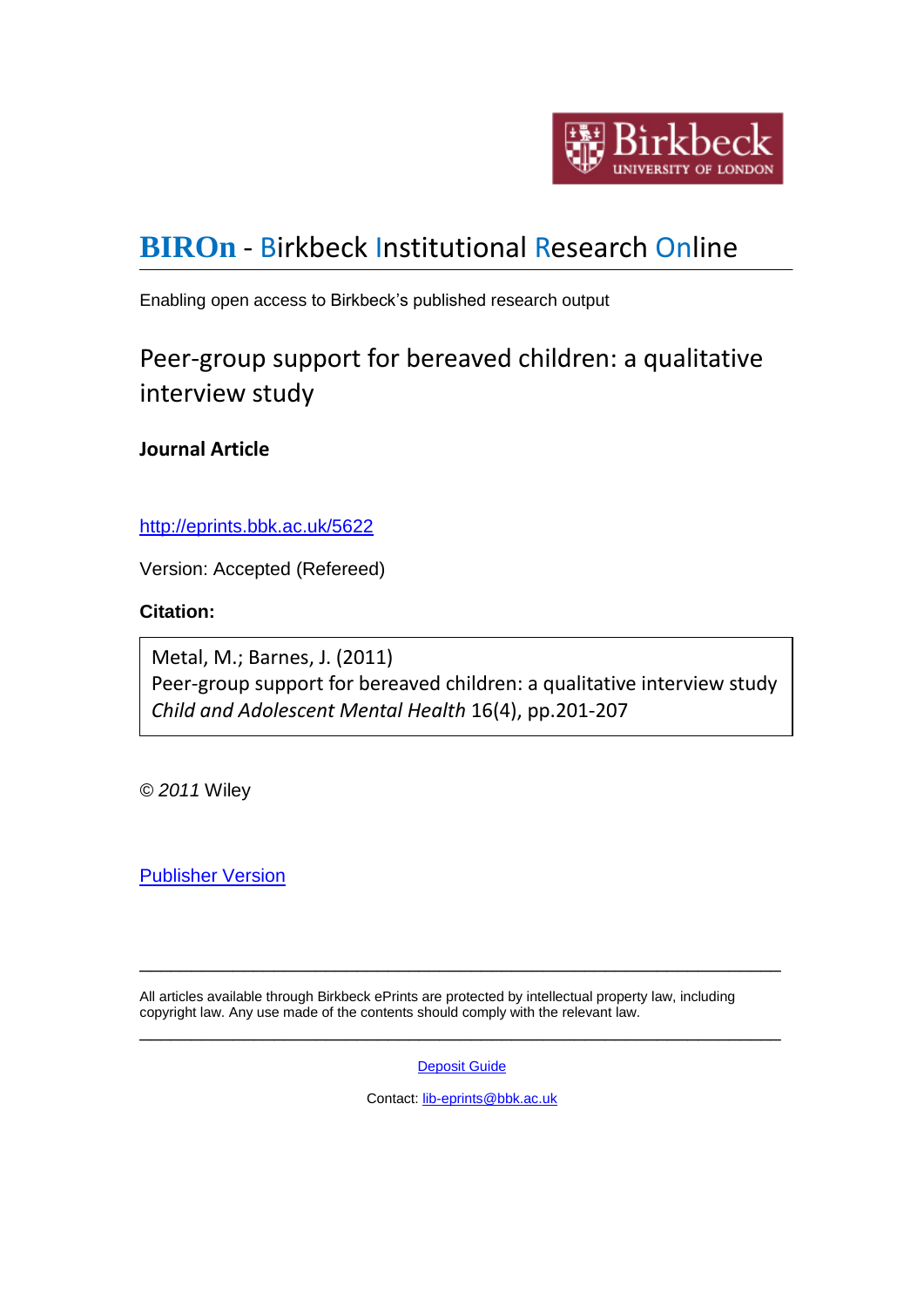

# **[BIROn](http://eprints.bbk.ac.uk/irstats.cgi)** - Birkbeck Institutional Research Online

Enabling open access to Birkbeck's published research output

# Peer-group support for bereaved children: a qualitative interview study

**Journal Article**

<http://eprints.bbk.ac.uk/5622>

Version: Accepted (Refereed)

# **Citation:**

Metal, M.; Barnes, J. (2011) Peer-group support for bereaved children: a qualitative interview study *Child and Adolescent Mental Health* 16(4), pp.201-207

*© 2011* Wiley

[Publisher Version](http://dx.doi.org/10.1111/j.1475-3588.2011.00601.x)

All articles available through Birkbeck ePrints are protected by intellectual property law, including copyright law. Any use made of the contents should comply with the relevant law.

**[Deposit Guide](http://eprints.bbk.ac.uk/deposit_guide.html)** 

\_\_\_\_\_\_\_\_\_\_\_\_\_\_\_\_\_\_\_\_\_\_\_\_\_\_\_\_\_\_\_\_\_\_\_\_\_\_\_\_\_\_\_\_\_\_\_\_\_\_\_\_\_\_\_\_\_\_\_\_\_\_

\_\_\_\_\_\_\_\_\_\_\_\_\_\_\_\_\_\_\_\_\_\_\_\_\_\_\_\_\_\_\_\_\_\_\_\_\_\_\_\_\_\_\_\_\_\_\_\_\_\_\_\_\_\_\_\_\_\_\_\_\_\_

Contact: [lib-eprints@bbk.ac.uk](mailto:lib-eprints@bbk.ac.uk)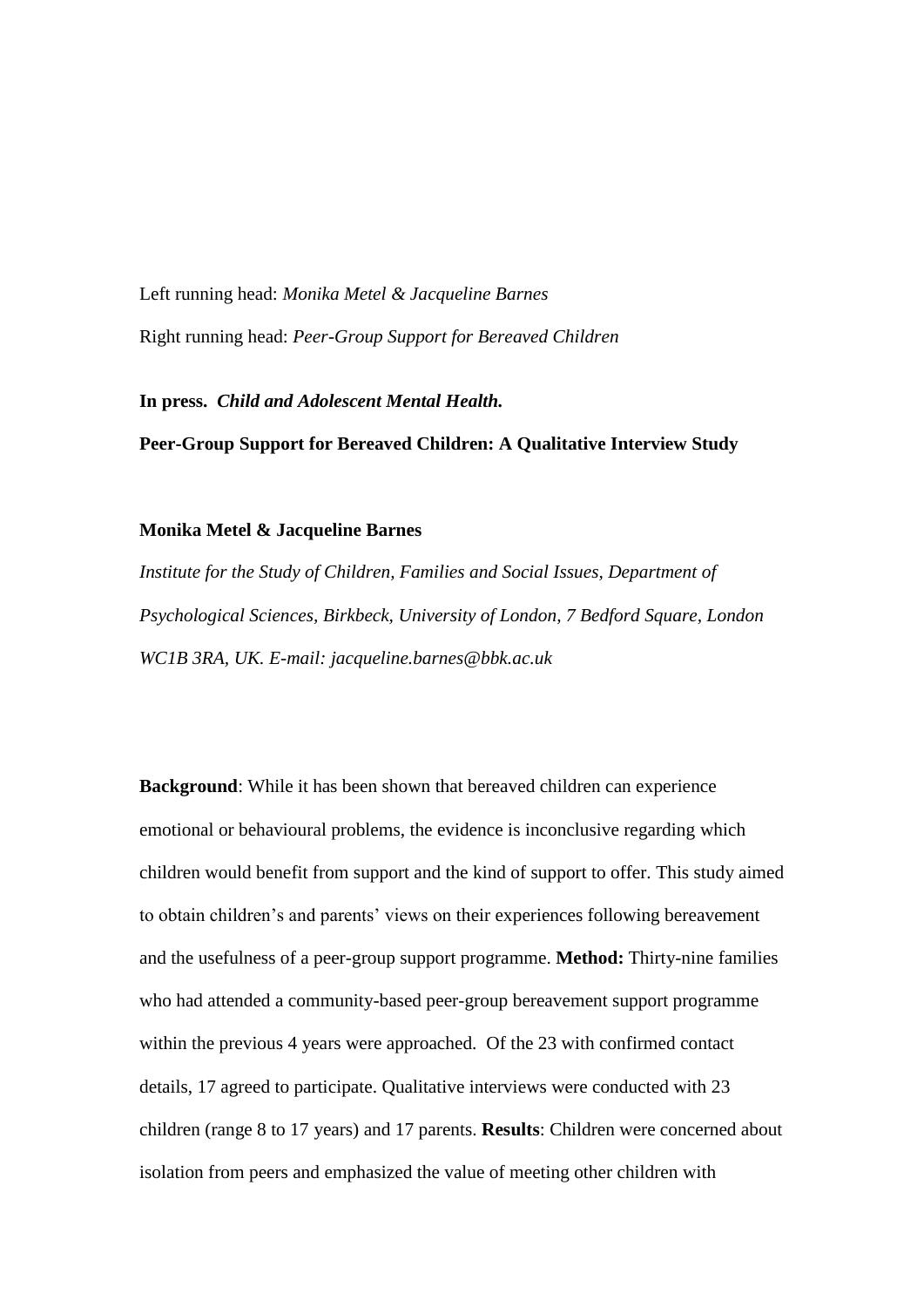Left running head: *Monika Metel & Jacqueline Barnes* Right running head: *Peer-Group Support for Bereaved Children*

**In press.** *Child and Adolescent Mental Health.*

**Peer-Group Support for Bereaved Children: A Qualitative Interview Study**

#### **Monika Metel & Jacqueline Barnes**

*Institute for the Study of Children, Families and Social Issues, Department of Psychological Sciences, Birkbeck, University of London, 7 Bedford Square, London WC1B 3RA, UK. E-mail: jacqueline.barnes@bbk.ac.uk*

**Background**: While it has been shown that bereaved children can experience emotional or behavioural problems, the evidence is inconclusive regarding which children would benefit from support and the kind of support to offer. This study aimed to obtain children's and parents' views on their experiences following bereavement and the usefulness of a peer-group support programme. **Method:** Thirty-nine families who had attended a community-based peer-group bereavement support programme within the previous 4 years were approached. Of the 23 with confirmed contact details, 17 agreed to participate. Qualitative interviews were conducted with 23 children (range 8 to 17 years) and 17 parents. **Results**: Children were concerned about isolation from peers and emphasized the value of meeting other children with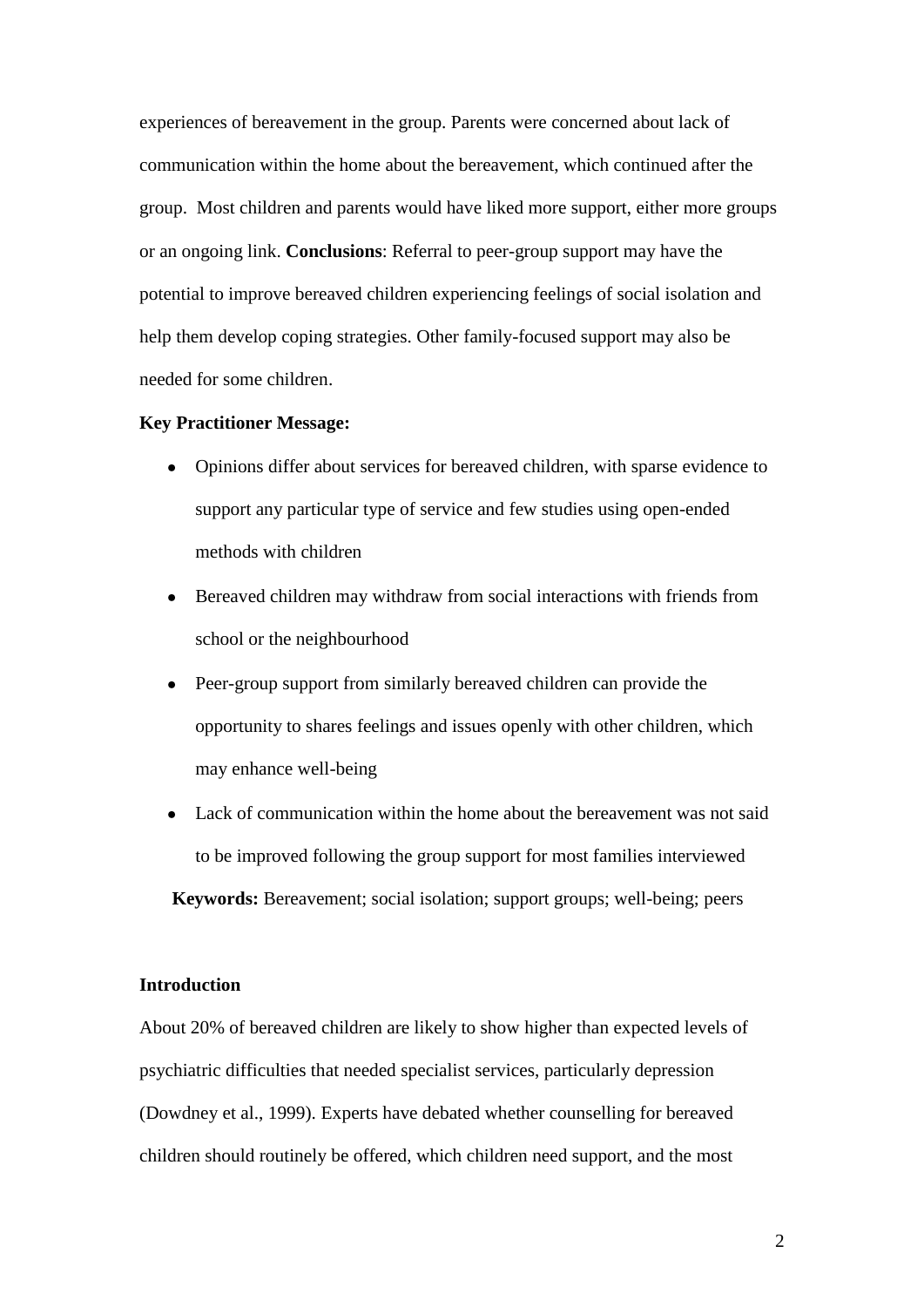experiences of bereavement in the group. Parents were concerned about lack of communication within the home about the bereavement, which continued after the group. Most children and parents would have liked more support, either more groups or an ongoing link. **Conclusions**: Referral to peer-group support may have the potential to improve bereaved children experiencing feelings of social isolation and help them develop coping strategies. Other family-focused support may also be needed for some children.

#### **Key Practitioner Message:**

- Opinions differ about services for bereaved children, with sparse evidence to  $\bullet$ support any particular type of service and few studies using open-ended methods with children
- Bereaved children may withdraw from social interactions with friends from school or the neighbourhood
- Peer-group support from similarly bereaved children can provide the opportunity to shares feelings and issues openly with other children, which may enhance well-being
- Lack of communication within the home about the bereavement was not said to be improved following the group support for most families interviewed **Keywords:** Bereavement; social isolation; support groups; well-being; peers

# **Introduction**

About 20% of bereaved children are likely to show higher than expected levels of psychiatric difficulties that needed specialist services, particularly depression (Dowdney et al., 1999). Experts have debated whether counselling for bereaved children should routinely be offered, which children need support, and the most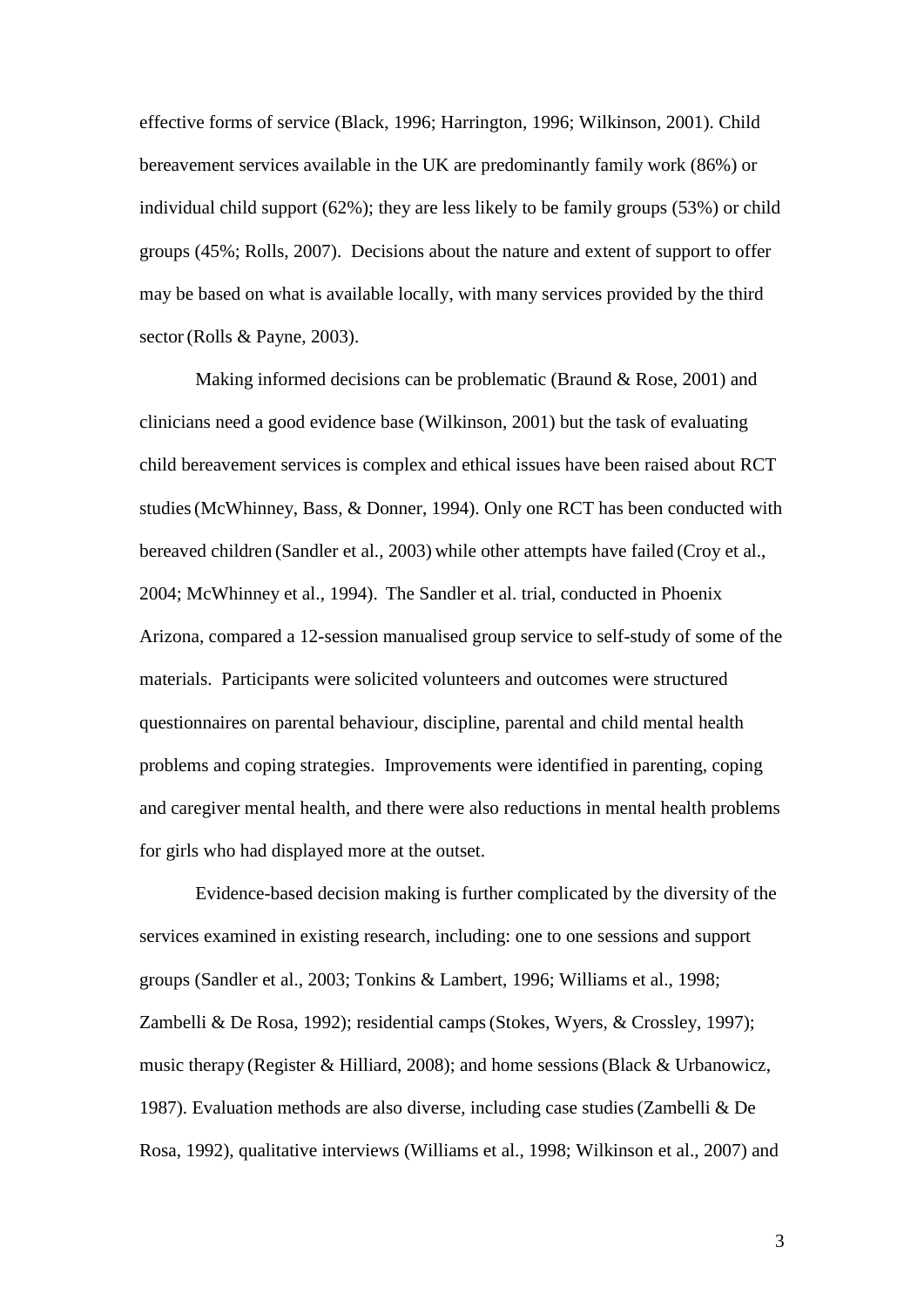effective forms of service (Black, 1996; Harrington, 1996; Wilkinson, 2001). Child bereavement services available in the UK are predominantly family work (86%) or individual child support (62%); they are less likely to be family groups (53%) or child groups (45%; Rolls, 2007). Decisions about the nature and extent of support to offer may be based on what is available locally, with many services provided by the third sector (Rolls & Payne, 2003).

Making informed decisions can be problematic (Braund & Rose, 2001) and clinicians need a good evidence base (Wilkinson, 2001) but the task of evaluating child bereavement services is complex and ethical issues have been raised about RCT studies(McWhinney, Bass, & Donner, 1994). Only one RCT has been conducted with bereaved children (Sandler et al., 2003) while other attempts have failed (Croy et al., 2004; McWhinney et al., 1994). The Sandler et al. trial, conducted in Phoenix Arizona, compared a 12-session manualised group service to self-study of some of the materials. Participants were solicited volunteers and outcomes were structured questionnaires on parental behaviour, discipline, parental and child mental health problems and coping strategies. Improvements were identified in parenting, coping and caregiver mental health, and there were also reductions in mental health problems for girls who had displayed more at the outset.

Evidence-based decision making is further complicated by the diversity of the services examined in existing research, including: one to one sessions and support groups (Sandler et al., 2003; Tonkins & Lambert, 1996; Williams et al., 1998; Zambelli & De Rosa, 1992); residential camps (Stokes, Wyers, & Crossley, 1997); music therapy (Register & Hilliard, 2008); and home sessions(Black & Urbanowicz, 1987). Evaluation methods are also diverse, including case studies(Zambelli & De Rosa, 1992), qualitative interviews (Williams et al., 1998; Wilkinson et al., 2007) and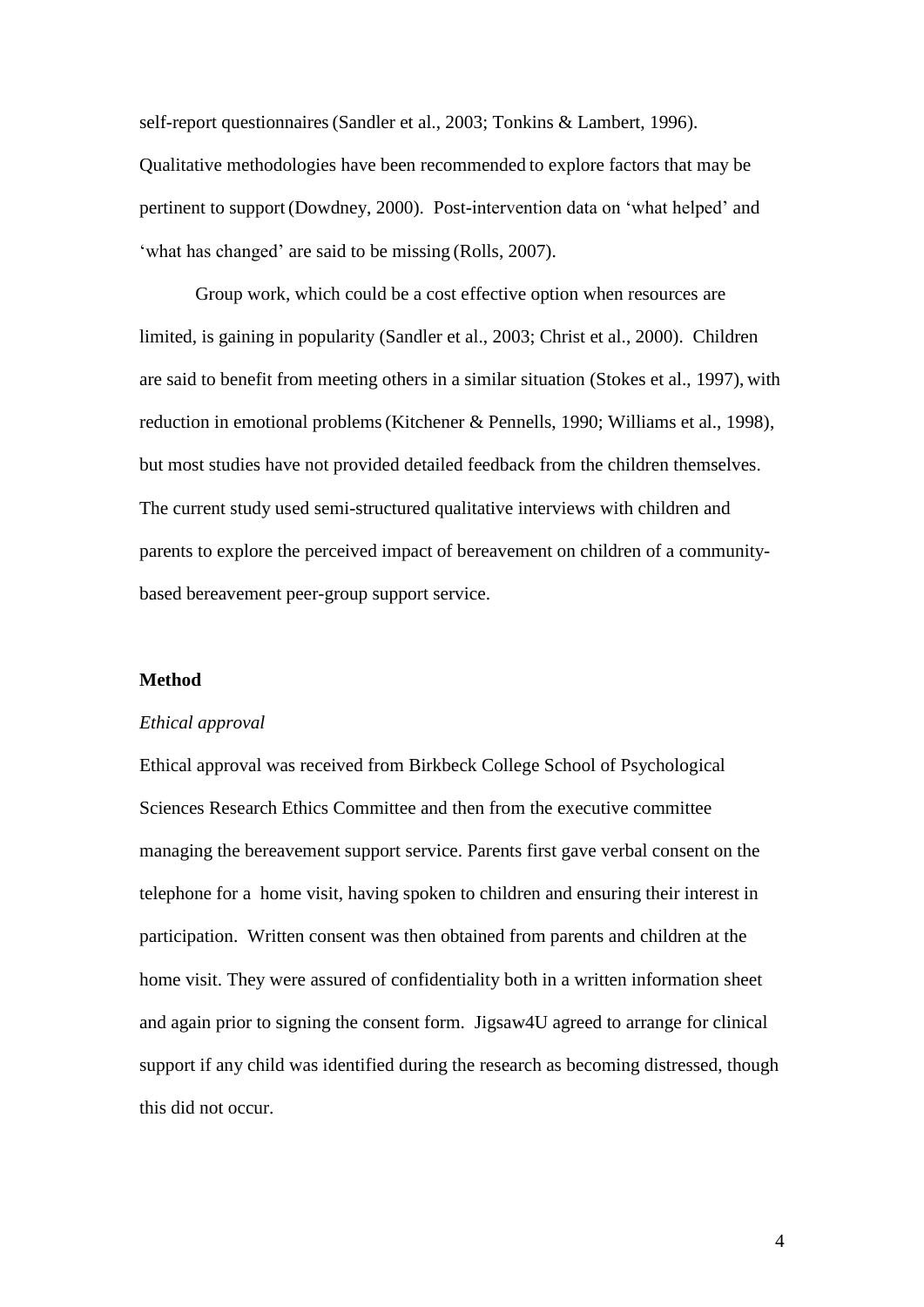self-report questionnaires(Sandler et al., 2003; Tonkins & Lambert, 1996). Qualitative methodologies have been recommended to explore factors that may be pertinent to support (Dowdney, 2000). Post-intervention data on 'what helped' and 'what has changed' are said to be missing (Rolls, 2007).

Group work, which could be a cost effective option when resources are limited, is gaining in popularity (Sandler et al., 2003; Christ et al., 2000). Children are said to benefit from meeting others in a similar situation (Stokes et al., 1997), with reduction in emotional problems(Kitchener & Pennells, 1990; Williams et al., 1998), but most studies have not provided detailed feedback from the children themselves. The current study used semi-structured qualitative interviews with children and parents to explore the perceived impact of bereavement on children of a communitybased bereavement peer-group support service.

#### **Method**

#### *Ethical approval*

Ethical approval was received from Birkbeck College School of Psychological Sciences Research Ethics Committee and then from the executive committee managing the bereavement support service. Parents first gave verbal consent on the telephone for a home visit, having spoken to children and ensuring their interest in participation. Written consent was then obtained from parents and children at the home visit. They were assured of confidentiality both in a written information sheet and again prior to signing the consent form. Jigsaw4U agreed to arrange for clinical support if any child was identified during the research as becoming distressed, though this did not occur.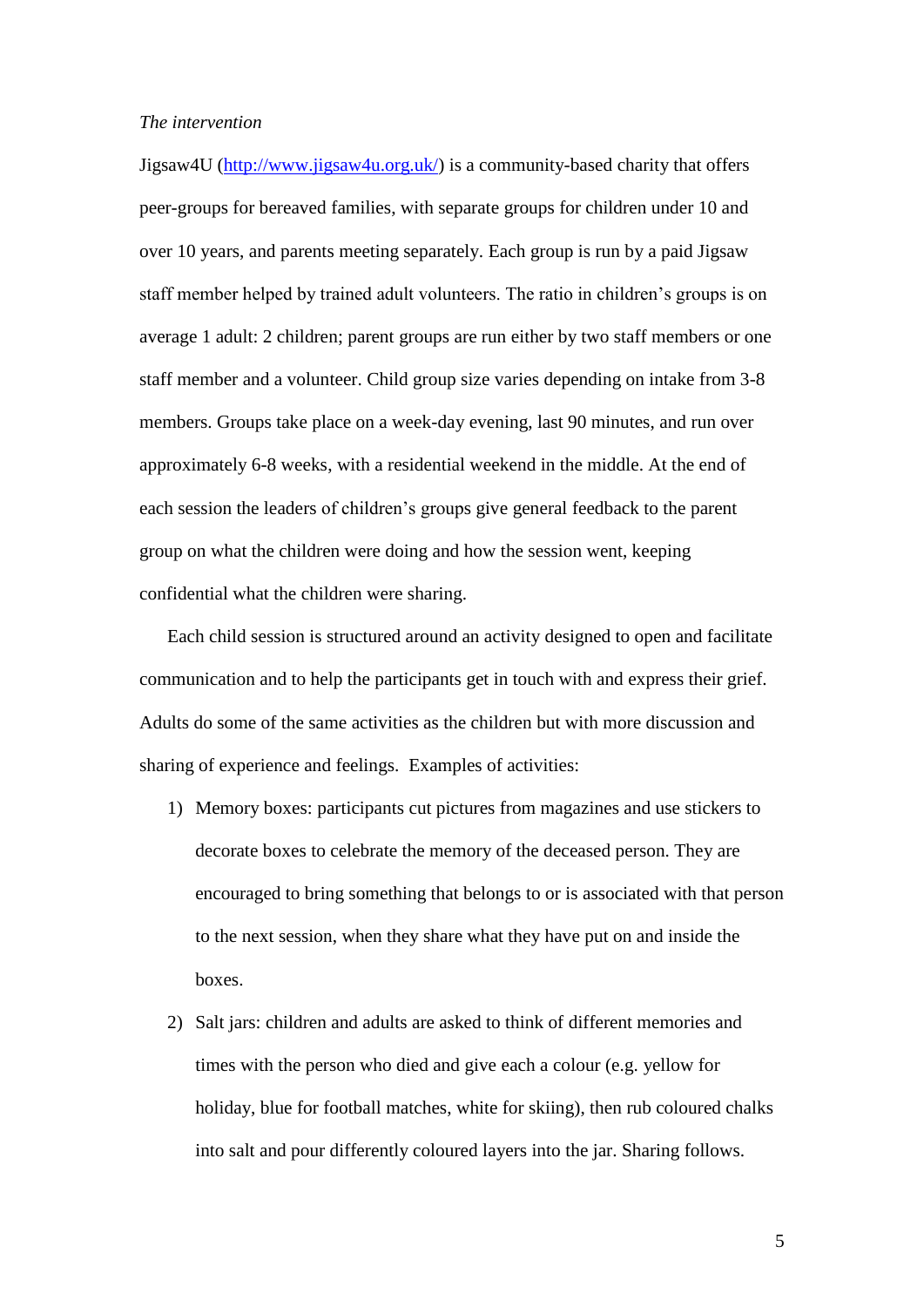#### *The intervention*

Jigsaw4U [\(http://www.jigsaw4u.org.uk/\)](http://www.jigsaw4u.org.uk/) is a community-based charity that offers peer-groups for bereaved families, with separate groups for children under 10 and over 10 years, and parents meeting separately. Each group is run by a paid Jigsaw staff member helped by trained adult volunteers. The ratio in children's groups is on average 1 adult: 2 children; parent groups are run either by two staff members or one staff member and a volunteer. Child group size varies depending on intake from 3-8 members. Groups take place on a week-day evening, last 90 minutes, and run over approximately 6-8 weeks, with a residential weekend in the middle. At the end of each session the leaders of children's groups give general feedback to the parent group on what the children were doing and how the session went, keeping confidential what the children were sharing.

Each child session is structured around an activity designed to open and facilitate communication and to help the participants get in touch with and express their grief. Adults do some of the same activities as the children but with more discussion and sharing of experience and feelings. Examples of activities:

- 1) Memory boxes: participants cut pictures from magazines and use stickers to decorate boxes to celebrate the memory of the deceased person. They are encouraged to bring something that belongs to or is associated with that person to the next session, when they share what they have put on and inside the boxes.
- 2) Salt jars: children and adults are asked to think of different memories and times with the person who died and give each a colour (e.g. yellow for holiday, blue for football matches, white for skiing), then rub coloured chalks into salt and pour differently coloured layers into the jar. Sharing follows.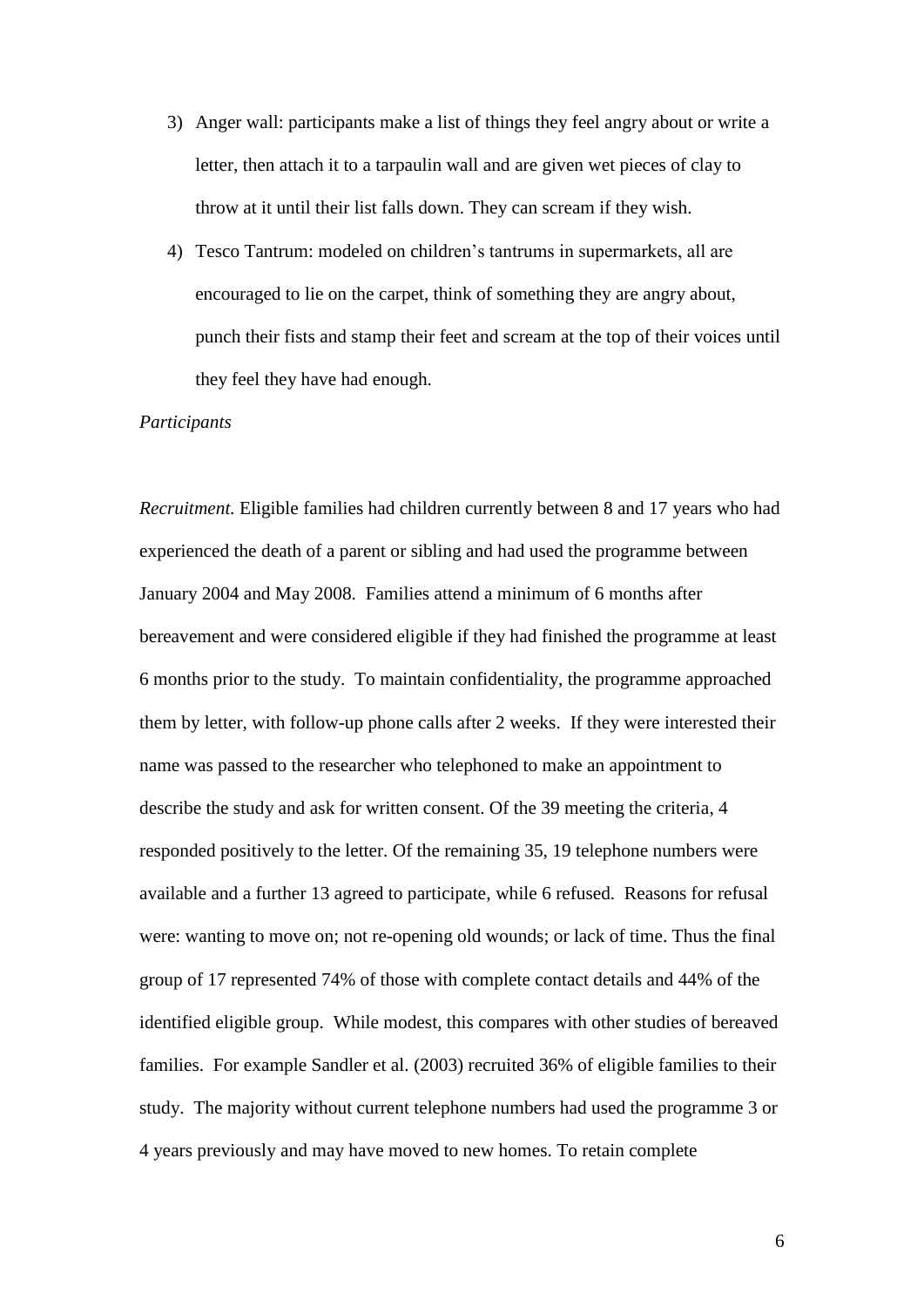- 3) Anger wall: participants make a list of things they feel angry about or write a letter, then attach it to a tarpaulin wall and are given wet pieces of clay to throw at it until their list falls down. They can scream if they wish.
- 4) Tesco Tantrum: modeled on children's tantrums in supermarkets, all are encouraged to lie on the carpet, think of something they are angry about, punch their fists and stamp their feet and scream at the top of their voices until they feel they have had enough.

# *Participants*

*Recruitment.* Eligible families had children currently between 8 and 17 years who had experienced the death of a parent or sibling and had used the programme between January 2004 and May 2008. Families attend a minimum of 6 months after bereavement and were considered eligible if they had finished the programme at least 6 months prior to the study. To maintain confidentiality, the programme approached them by letter, with follow-up phone calls after 2 weeks. If they were interested their name was passed to the researcher who telephoned to make an appointment to describe the study and ask for written consent. Of the 39 meeting the criteria, 4 responded positively to the letter. Of the remaining 35, 19 telephone numbers were available and a further 13 agreed to participate, while 6 refused. Reasons for refusal were: wanting to move on; not re-opening old wounds; or lack of time. Thus the final group of 17 represented 74% of those with complete contact details and 44% of the identified eligible group. While modest, this compares with other studies of bereaved families. For example Sandler et al. (2003) recruited 36% of eligible families to their study. The majority without current telephone numbers had used the programme 3 or 4 years previously and may have moved to new homes. To retain complete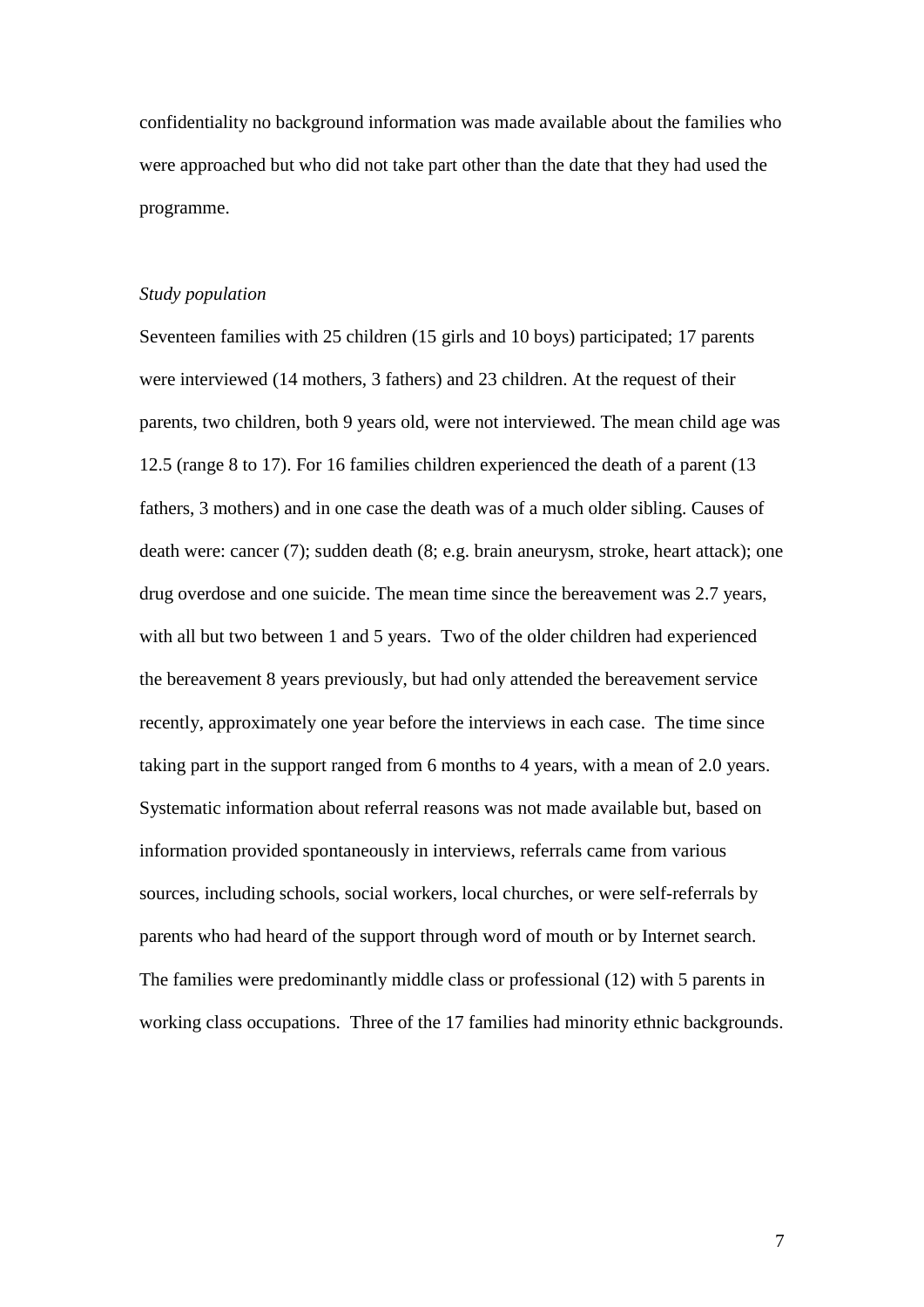confidentiality no background information was made available about the families who were approached but who did not take part other than the date that they had used the programme.

#### *Study population*

Seventeen families with 25 children (15 girls and 10 boys) participated; 17 parents were interviewed (14 mothers, 3 fathers) and 23 children. At the request of their parents, two children, both 9 years old, were not interviewed. The mean child age was 12.5 (range 8 to 17). For 16 families children experienced the death of a parent (13 fathers, 3 mothers) and in one case the death was of a much older sibling. Causes of death were: cancer (7); sudden death (8; e.g. brain aneurysm, stroke, heart attack); one drug overdose and one suicide. The mean time since the bereavement was 2.7 years, with all but two between 1 and 5 years. Two of the older children had experienced the bereavement 8 years previously, but had only attended the bereavement service recently, approximately one year before the interviews in each case. The time since taking part in the support ranged from 6 months to 4 years, with a mean of 2.0 years. Systematic information about referral reasons was not made available but, based on information provided spontaneously in interviews, referrals came from various sources, including schools, social workers, local churches, or were self-referrals by parents who had heard of the support through word of mouth or by Internet search. The families were predominantly middle class or professional (12) with 5 parents in working class occupations. Three of the 17 families had minority ethnic backgrounds.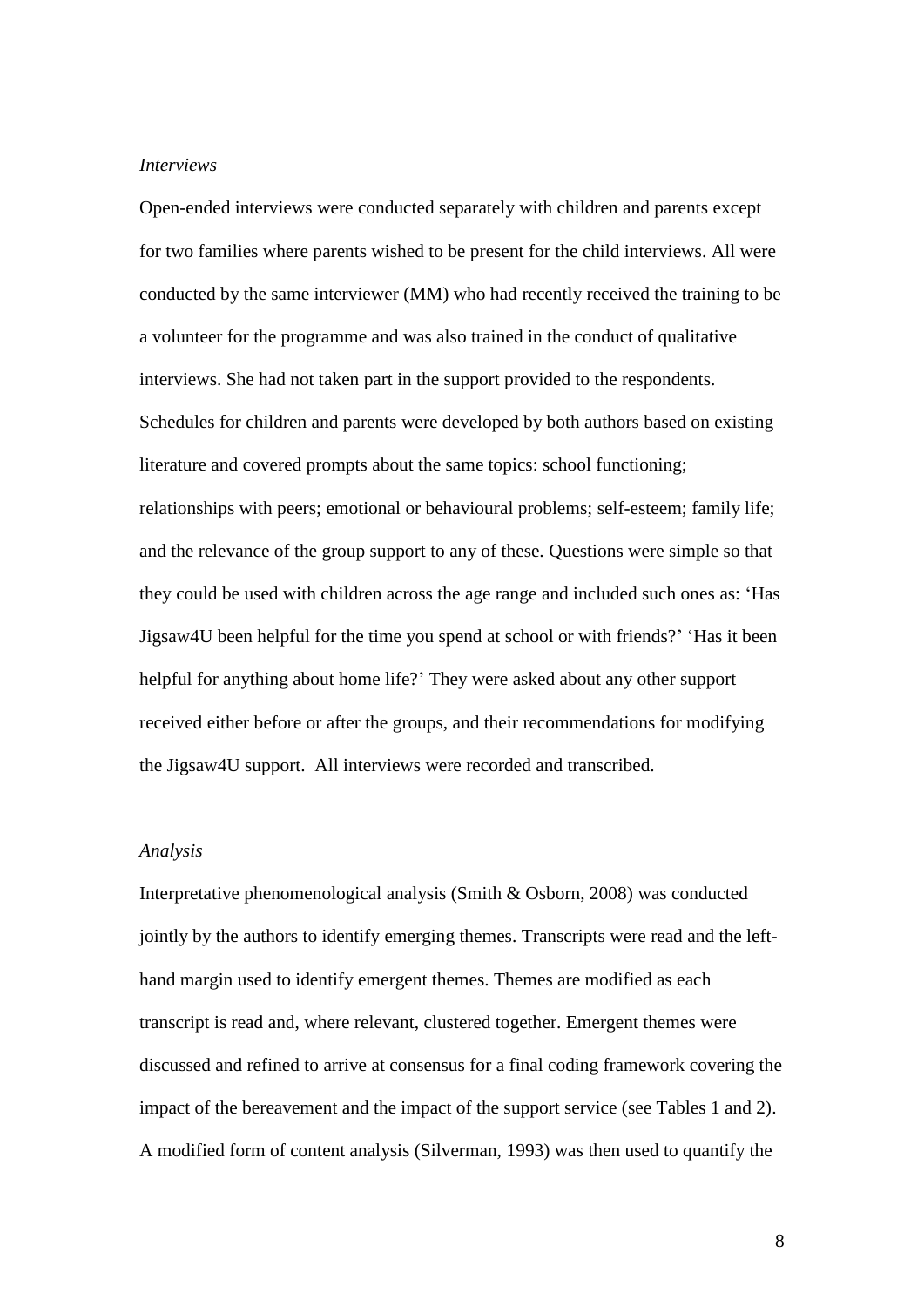# *Interviews*

Open-ended interviews were conducted separately with children and parents except for two families where parents wished to be present for the child interviews. All were conducted by the same interviewer (MM) who had recently received the training to be a volunteer for the programme and was also trained in the conduct of qualitative interviews. She had not taken part in the support provided to the respondents. Schedules for children and parents were developed by both authors based on existing literature and covered prompts about the same topics: school functioning; relationships with peers; emotional or behavioural problems; self-esteem; family life; and the relevance of the group support to any of these. Questions were simple so that they could be used with children across the age range and included such ones as: 'Has Jigsaw4U been helpful for the time you spend at school or with friends?' 'Has it been helpful for anything about home life?' They were asked about any other support received either before or after the groups, and their recommendations for modifying the Jigsaw4U support. All interviews were recorded and transcribed.

#### *Analysis*

Interpretative phenomenological analysis (Smith & Osborn, 2008) was conducted jointly by the authors to identify emerging themes. Transcripts were read and the lefthand margin used to identify emergent themes. Themes are modified as each transcript is read and, where relevant, clustered together. Emergent themes were discussed and refined to arrive at consensus for a final coding framework covering the impact of the bereavement and the impact of the support service (see Tables 1 and 2). A modified form of content analysis (Silverman, 1993) was then used to quantify the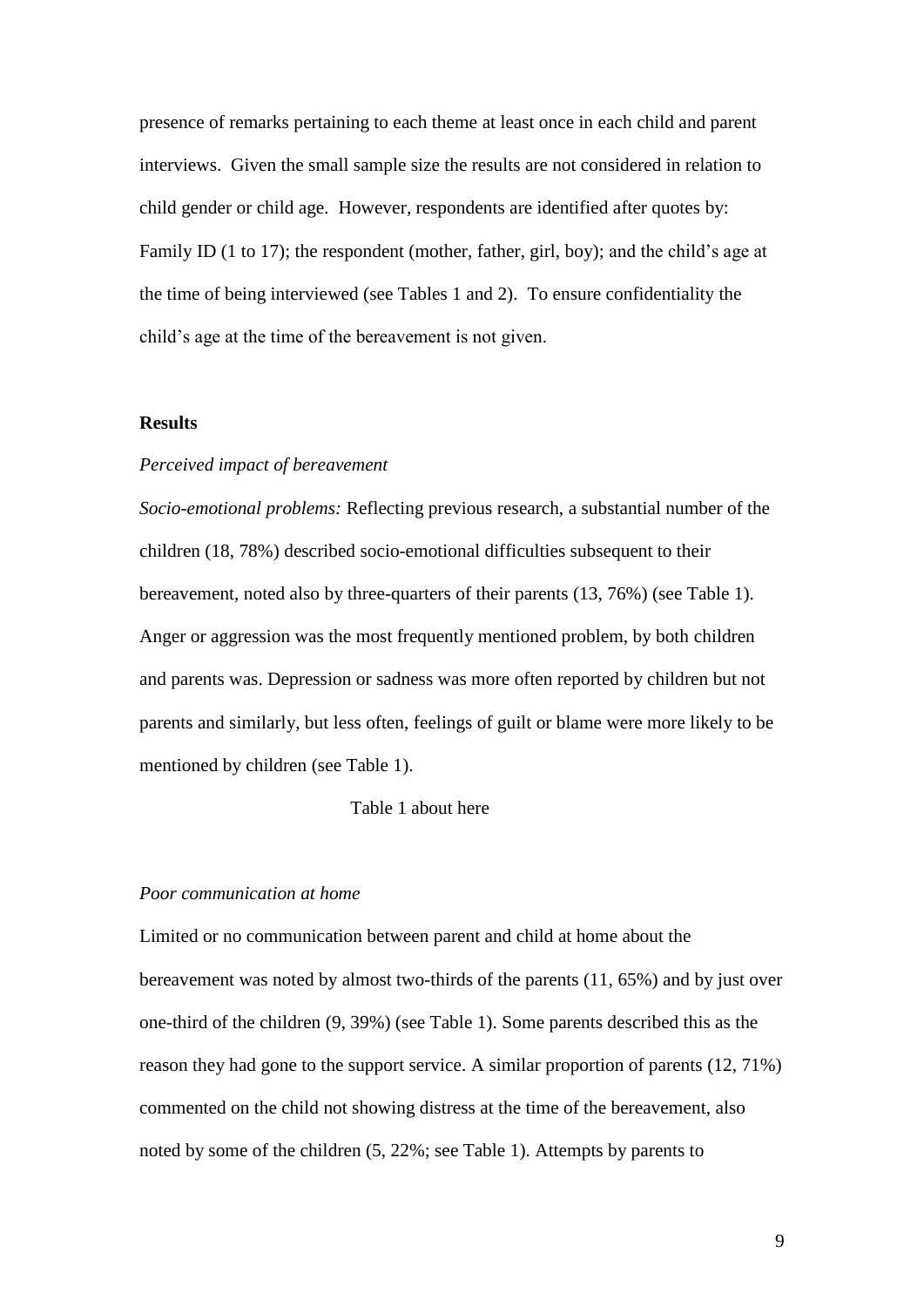presence of remarks pertaining to each theme at least once in each child and parent interviews. Given the small sample size the results are not considered in relation to child gender or child age. However, respondents are identified after quotes by: Family ID (1 to 17); the respondent (mother, father, girl, boy); and the child's age at the time of being interviewed (see Tables 1 and 2). To ensure confidentiality the child's age at the time of the bereavement is not given.

# **Results**

# *Perceived impact of bereavement*

*Socio-emotional problems:* Reflecting previous research, a substantial number of the children (18, 78%) described socio-emotional difficulties subsequent to their bereavement, noted also by three-quarters of their parents (13, 76%) (see Table 1). Anger or aggression was the most frequently mentioned problem, by both children and parents was. Depression or sadness was more often reported by children but not parents and similarly, but less often, feelings of guilt or blame were more likely to be mentioned by children (see Table 1).

# Table 1 about here

#### *Poor communication at home*

Limited or no communication between parent and child at home about the bereavement was noted by almost two-thirds of the parents (11, 65%) and by just over one-third of the children (9, 39%) (see Table 1). Some parents described this as the reason they had gone to the support service. A similar proportion of parents (12, 71%) commented on the child not showing distress at the time of the bereavement, also noted by some of the children (5, 22%; see Table 1). Attempts by parents to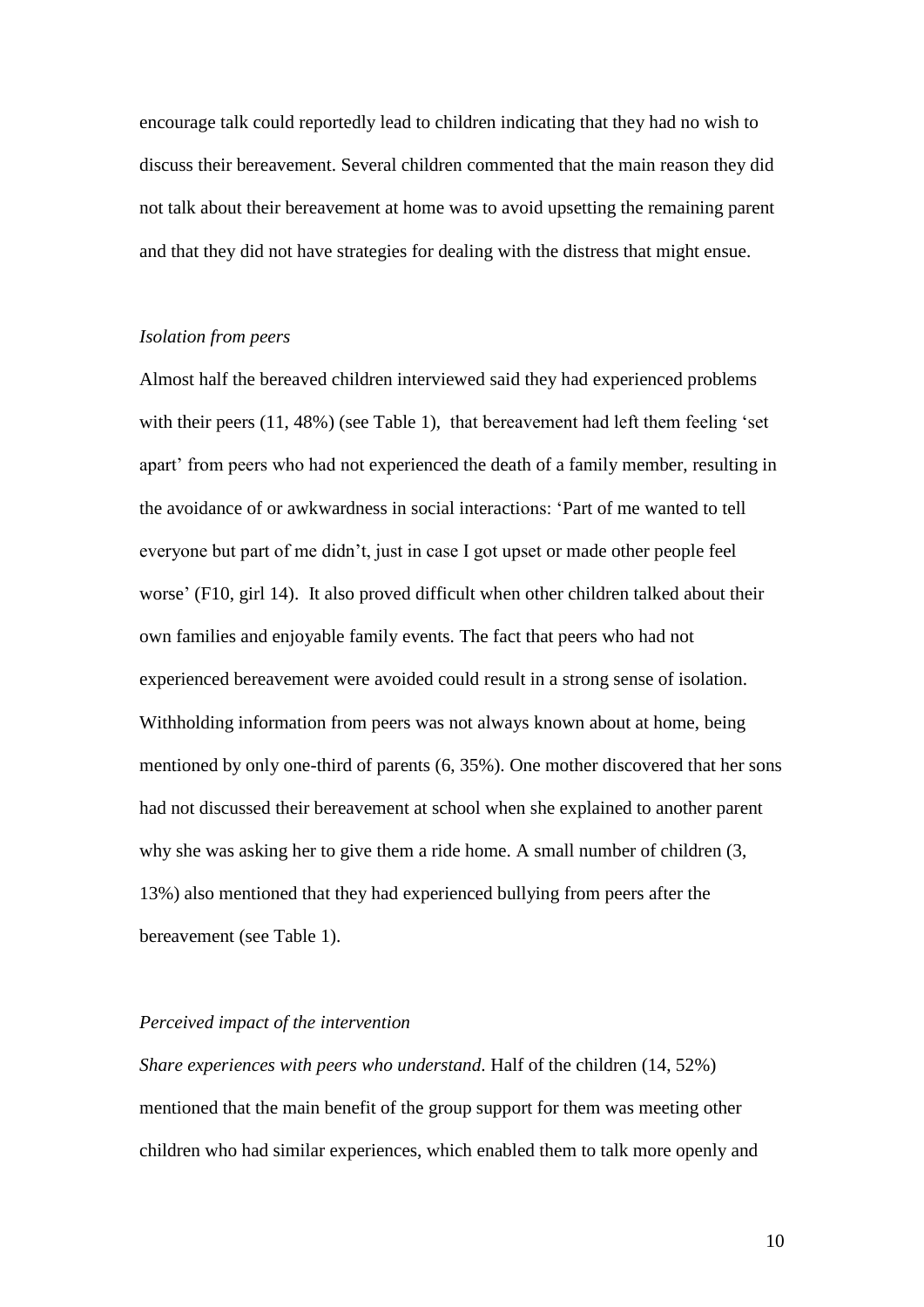encourage talk could reportedly lead to children indicating that they had no wish to discuss their bereavement. Several children commented that the main reason they did not talk about their bereavement at home was to avoid upsetting the remaining parent and that they did not have strategies for dealing with the distress that might ensue.

### *Isolation from peers*

Almost half the bereaved children interviewed said they had experienced problems with their peers (11, 48%) (see Table 1), that bereavement had left them feeling 'set apart' from peers who had not experienced the death of a family member, resulting in the avoidance of or awkwardness in social interactions: 'Part of me wanted to tell everyone but part of me didn't, just in case I got upset or made other people feel worse' (F10, girl 14). It also proved difficult when other children talked about their own families and enjoyable family events. The fact that peers who had not experienced bereavement were avoided could result in a strong sense of isolation. Withholding information from peers was not always known about at home, being mentioned by only one-third of parents (6, 35%). One mother discovered that her sons had not discussed their bereavement at school when she explained to another parent why she was asking her to give them a ride home. A small number of children (3, 13%) also mentioned that they had experienced bullying from peers after the bereavement (see Table 1).

### *Perceived impact of the intervention*

*Share experiences with peers who understand.* Half of the children (14, 52%) mentioned that the main benefit of the group support for them was meeting other children who had similar experiences, which enabled them to talk more openly and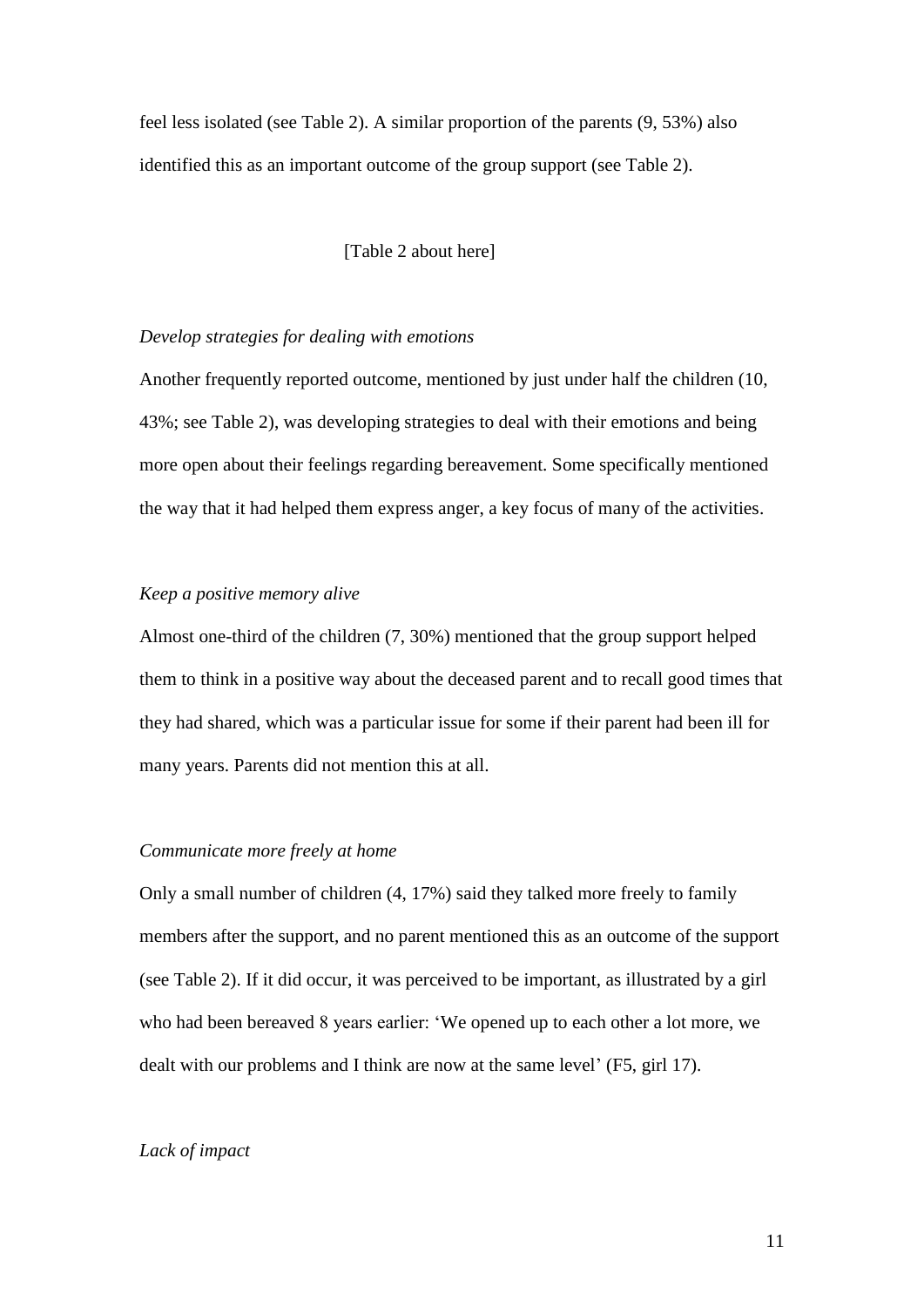feel less isolated (see Table 2). A similar proportion of the parents (9, 53%) also identified this as an important outcome of the group support (see Table 2).

[Table 2 about here]

# *Develop strategies for dealing with emotions*

Another frequently reported outcome, mentioned by just under half the children (10, 43%; see Table 2), was developing strategies to deal with their emotions and being more open about their feelings regarding bereavement. Some specifically mentioned the way that it had helped them express anger, a key focus of many of the activities.

### *Keep a positive memory alive*

Almost one-third of the children (7, 30%) mentioned that the group support helped them to think in a positive way about the deceased parent and to recall good times that they had shared, which was a particular issue for some if their parent had been ill for many years. Parents did not mention this at all.

### *Communicate more freely at home*

Only a small number of children (4, 17%) said they talked more freely to family members after the support, and no parent mentioned this as an outcome of the support (see Table 2). If it did occur, it was perceived to be important, as illustrated by a girl who had been bereaved 8 years earlier: 'We opened up to each other a lot more, we dealt with our problems and I think are now at the same level' (F5, girl 17).

# *Lack of impact*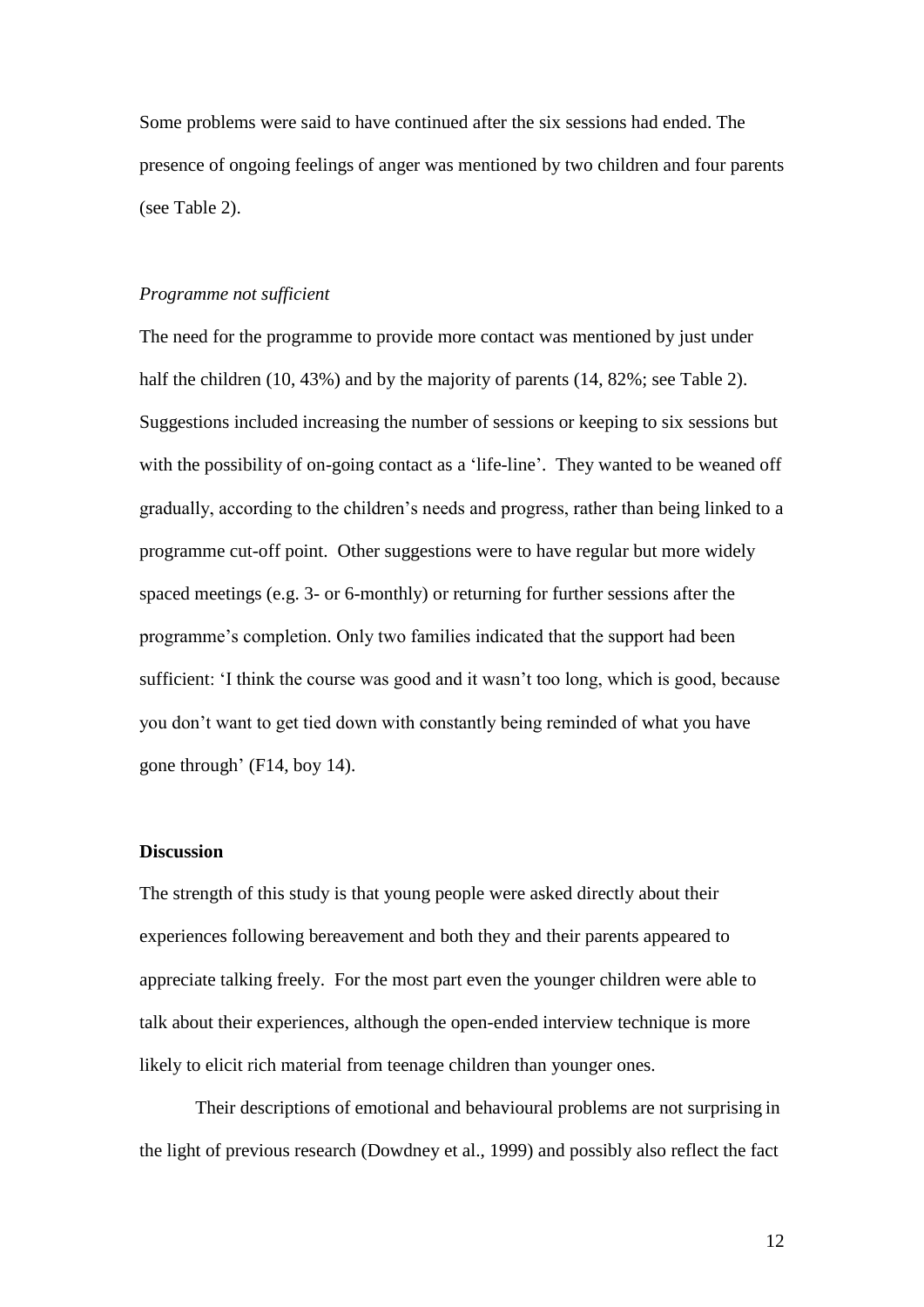Some problems were said to have continued after the six sessions had ended. The presence of ongoing feelings of anger was mentioned by two children and four parents (see Table 2).

#### *Programme not sufficient*

The need for the programme to provide more contact was mentioned by just under half the children (10, 43%) and by the majority of parents (14, 82%; see Table 2). Suggestions included increasing the number of sessions or keeping to six sessions but with the possibility of on-going contact as a 'life-line'. They wanted to be weaned off gradually, according to the children's needs and progress, rather than being linked to a programme cut-off point. Other suggestions were to have regular but more widely spaced meetings (e.g. 3- or 6-monthly) or returning for further sessions after the programme's completion. Only two families indicated that the support had been sufficient: 'I think the course was good and it wasn't too long, which is good, because you don't want to get tied down with constantly being reminded of what you have gone through' (F14, boy 14).

#### **Discussion**

The strength of this study is that young people were asked directly about their experiences following bereavement and both they and their parents appeared to appreciate talking freely. For the most part even the younger children were able to talk about their experiences, although the open-ended interview technique is more likely to elicit rich material from teenage children than younger ones.

Their descriptions of emotional and behavioural problems are not surprising in the light of previous research (Dowdney et al., 1999) and possibly also reflect the fact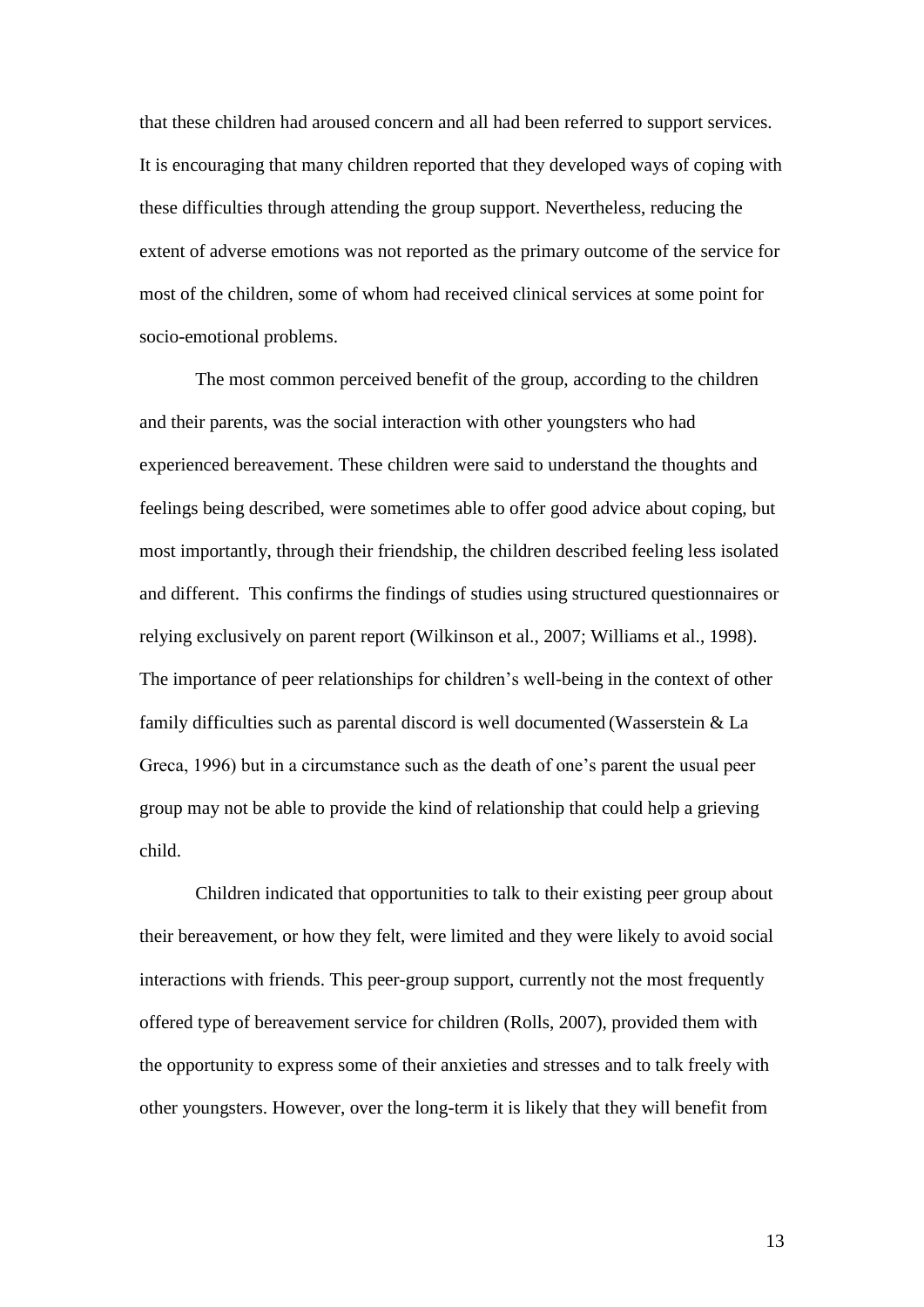that these children had aroused concern and all had been referred to support services. It is encouraging that many children reported that they developed ways of coping with these difficulties through attending the group support. Nevertheless, reducing the extent of adverse emotions was not reported as the primary outcome of the service for most of the children, some of whom had received clinical services at some point for socio-emotional problems.

The most common perceived benefit of the group, according to the children and their parents, was the social interaction with other youngsters who had experienced bereavement. These children were said to understand the thoughts and feelings being described, were sometimes able to offer good advice about coping, but most importantly, through their friendship, the children described feeling less isolated and different. This confirms the findings of studies using structured questionnaires or relying exclusively on parent report (Wilkinson et al., 2007; Williams et al., 1998). The importance of peer relationships for children's well-being in the context of other family difficulties such as parental discord is well documented (Wasserstein & La Greca, 1996) but in a circumstance such as the death of one's parent the usual peer group may not be able to provide the kind of relationship that could help a grieving child.

Children indicated that opportunities to talk to their existing peer group about their bereavement, or how they felt, were limited and they were likely to avoid social interactions with friends. This peer-group support, currently not the most frequently offered type of bereavement service for children (Rolls, 2007), provided them with the opportunity to express some of their anxieties and stresses and to talk freely with other youngsters. However, over the long-term it is likely that they will benefit from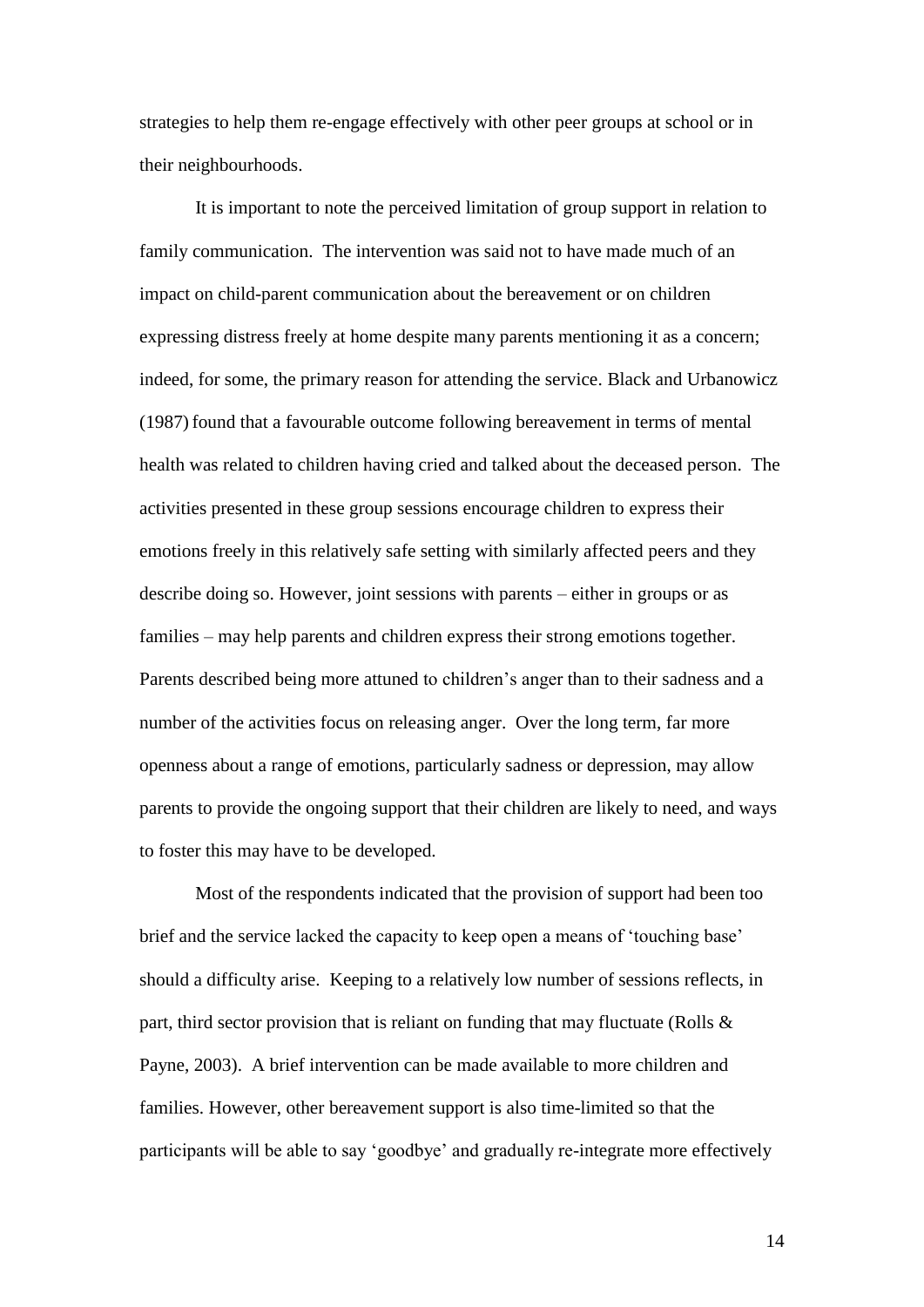strategies to help them re-engage effectively with other peer groups at school or in their neighbourhoods.

It is important to note the perceived limitation of group support in relation to family communication. The intervention was said not to have made much of an impact on child-parent communication about the bereavement or on children expressing distress freely at home despite many parents mentioning it as a concern; indeed, for some, the primary reason for attending the service. Black and Urbanowicz (1987) found that a favourable outcome following bereavement in terms of mental health was related to children having cried and talked about the deceased person. The activities presented in these group sessions encourage children to express their emotions freely in this relatively safe setting with similarly affected peers and they describe doing so. However, joint sessions with parents – either in groups or as families – may help parents and children express their strong emotions together. Parents described being more attuned to children's anger than to their sadness and a number of the activities focus on releasing anger. Over the long term, far more openness about a range of emotions, particularly sadness or depression, may allow parents to provide the ongoing support that their children are likely to need, and ways to foster this may have to be developed.

Most of the respondents indicated that the provision of support had been too brief and the service lacked the capacity to keep open a means of 'touching base' should a difficulty arise. Keeping to a relatively low number of sessions reflects, in part, third sector provision that is reliant on funding that may fluctuate (Rolls & Payne, 2003). A brief intervention can be made available to more children and families. However, other bereavement support is also time-limited so that the participants will be able to say 'goodbye' and gradually re-integrate more effectively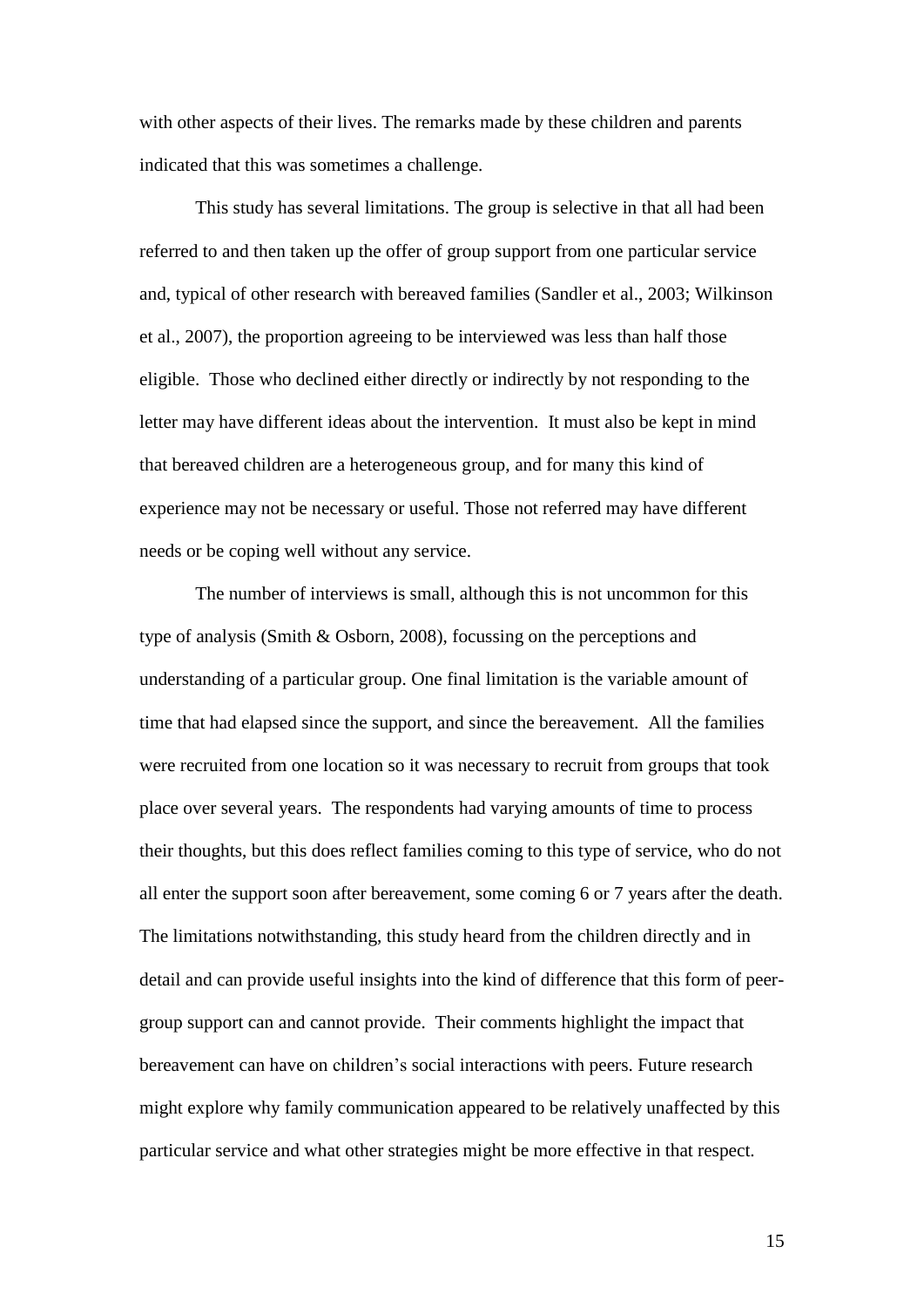with other aspects of their lives. The remarks made by these children and parents indicated that this was sometimes a challenge.

This study has several limitations. The group is selective in that all had been referred to and then taken up the offer of group support from one particular service and, typical of other research with bereaved families (Sandler et al., 2003; Wilkinson et al., 2007), the proportion agreeing to be interviewed was less than half those eligible. Those who declined either directly or indirectly by not responding to the letter may have different ideas about the intervention. It must also be kept in mind that bereaved children are a heterogeneous group, and for many this kind of experience may not be necessary or useful. Those not referred may have different needs or be coping well without any service.

The number of interviews is small, although this is not uncommon for this type of analysis (Smith & Osborn, 2008), focussing on the perceptions and understanding of a particular group. One final limitation is the variable amount of time that had elapsed since the support, and since the bereavement. All the families were recruited from one location so it was necessary to recruit from groups that took place over several years. The respondents had varying amounts of time to process their thoughts, but this does reflect families coming to this type of service, who do not all enter the support soon after bereavement, some coming 6 or 7 years after the death. The limitations notwithstanding, this study heard from the children directly and in detail and can provide useful insights into the kind of difference that this form of peergroup support can and cannot provide. Their comments highlight the impact that bereavement can have on children's social interactions with peers. Future research might explore why family communication appeared to be relatively unaffected by this particular service and what other strategies might be more effective in that respect.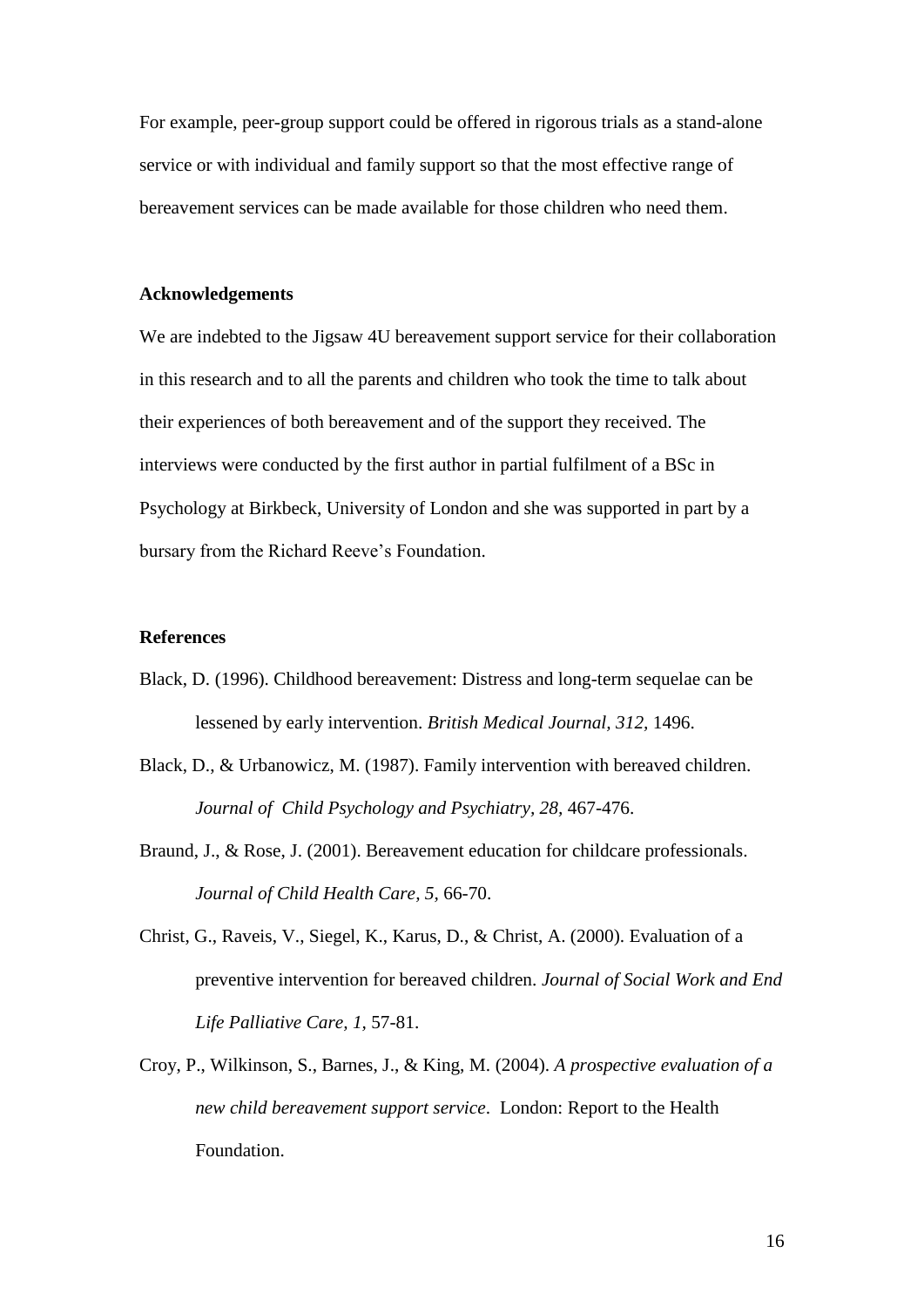For example, peer-group support could be offered in rigorous trials as a stand-alone service or with individual and family support so that the most effective range of bereavement services can be made available for those children who need them.

### **Acknowledgements**

We are indebted to the Jigsaw 4U bereavement support service for their collaboration in this research and to all the parents and children who took the time to talk about their experiences of both bereavement and of the support they received. The interviews were conducted by the first author in partial fulfilment of a BSc in Psychology at Birkbeck, University of London and she was supported in part by a bursary from the Richard Reeve's Foundation.

# **References**

- Black, D. (1996). Childhood bereavement: Distress and long-term sequelae can be lessened by early intervention. *British Medical Journal, 312,* 1496.
- Black, D., & Urbanowicz, M. (1987). Family intervention with bereaved children. *Journal of Child Psychology and Psychiatry, 28,* 467-476.
- Braund, J., & Rose, J. (2001). Bereavement education for childcare professionals. *Journal of Child Health Care, 5,* 66-70.
- Christ, G., Raveis, V., Siegel, K., Karus, D., & Christ, A. (2000). Evaluation of a preventive intervention for bereaved children. *Journal of Social Work and End Life Palliative Care, 1,* 57-81.
- Croy, P., Wilkinson, S., Barnes, J., & King, M. (2004). *A prospective evaluation of a new child bereavement support service*. London: Report to the Health Foundation.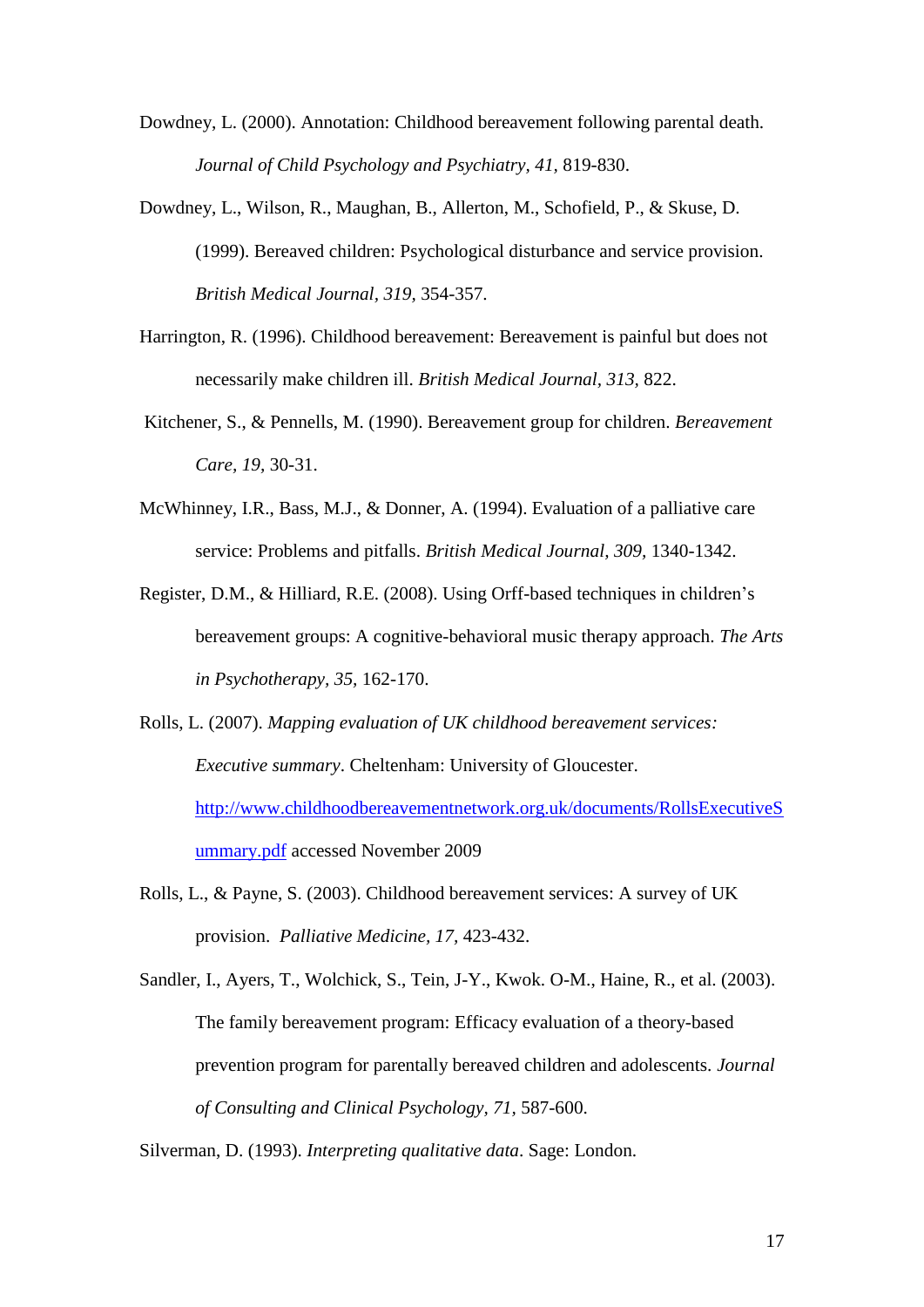Dowdney, L. (2000). Annotation: Childhood bereavement following parental death. *Journal of Child Psychology and Psychiatry, 41,* 819-830.

- Dowdney, L., Wilson, R., Maughan, B., Allerton, M., Schofield, P., & Skuse, D. (1999). Bereaved children: Psychological disturbance and service provision. *British Medical Journal, 319,* 354-357.
- Harrington, R. (1996). Childhood bereavement: Bereavement is painful but does not necessarily make children ill. *British Medical Journal, 313,* 822.
- Kitchener, S., & Pennells, M. (1990). Bereavement group for children. *Bereavement Care, 19,* 30-31.
- McWhinney, I.R., Bass, M.J., & Donner, A. (1994). Evaluation of a palliative care service: Problems and pitfalls. *British Medical Journal, 309,* 1340-1342.
- Register, D.M., & Hilliard, R.E. (2008). Using Orff-based techniques in children's bereavement groups: A cognitive-behavioral music therapy approach. *The Arts in Psychotherapy, 35,* 162-170.
- Rolls, L. (2007). *Mapping evaluation of UK childhood bereavement services: Executive summary*. Cheltenham: University of Gloucester. [http://www.childhoodbereavementnetwork.org.uk/documents/RollsExecutiveS](http://www.childhoodbereavementnetwork.org.uk/documents/RollsExecutiveSummary.pdf) [ummary.pdf](http://www.childhoodbereavementnetwork.org.uk/documents/RollsExecutiveSummary.pdf) accessed November 2009
- Rolls, L., & Payne, S. (2003). Childhood bereavement services: A survey of UK provision. *Palliative Medicine, 17,* 423-432.

Sandler, I., Ayers, T., Wolchick, S., Tein, J-Y., Kwok. O-M., Haine, R., et al. (2003). The family bereavement program: Efficacy evaluation of a theory-based prevention program for parentally bereaved children and adolescents. *Journal of Consulting and Clinical Psychology, 71,* 587-600.

Silverman, D. (1993). *Interpreting qualitative data*. Sage: London.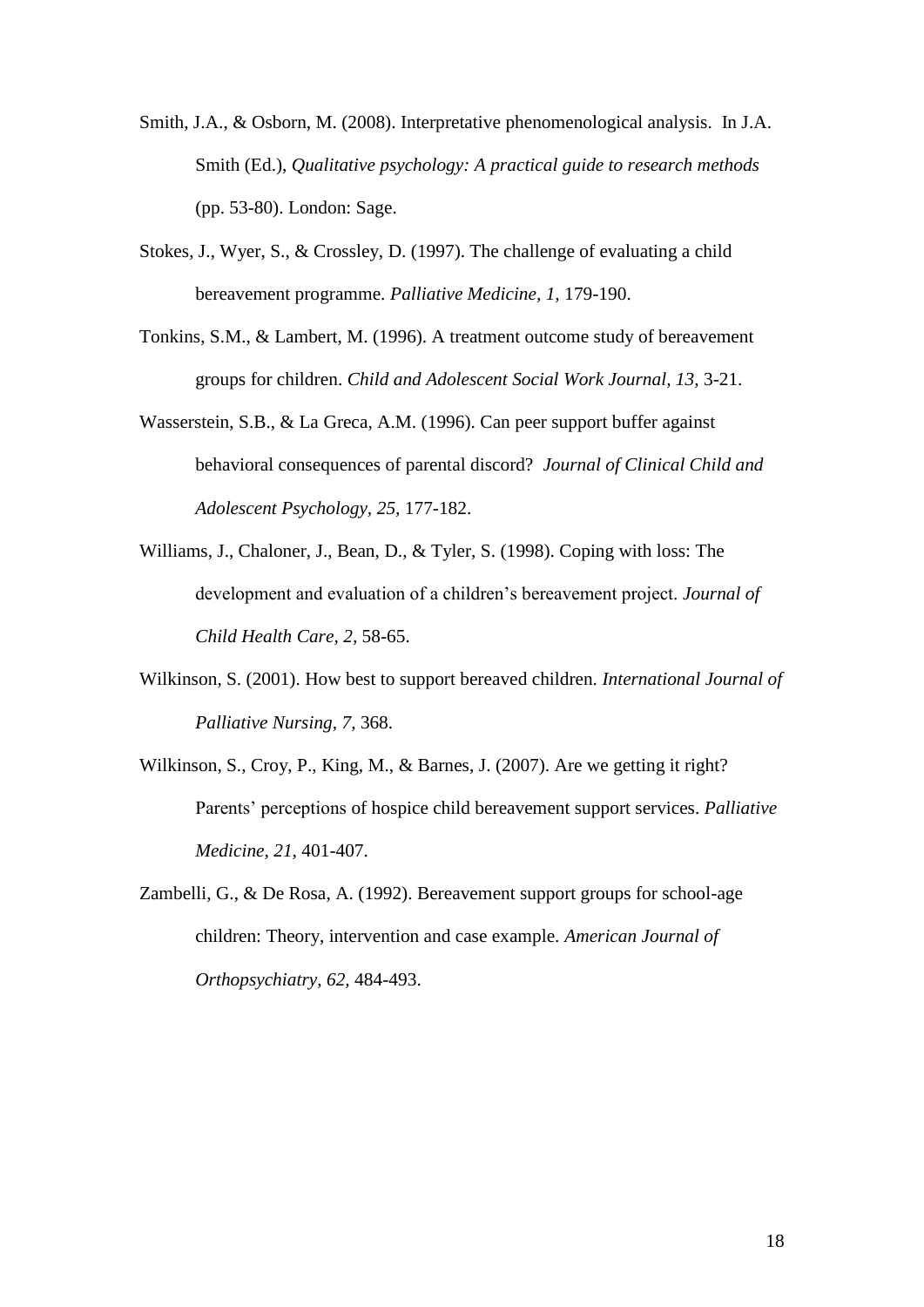- Smith, J.A., & Osborn, M. (2008). Interpretative phenomenological analysis. In J.A. Smith (Ed.), *Qualitative psychology: A practical guide to research methods* (pp. 53-80). London: Sage.
- Stokes, J., Wyer, S., & Crossley, D. (1997). The challenge of evaluating a child bereavement programme. *Palliative Medicine, 1,* 179-190.
- Tonkins, S.M., & Lambert, M. (1996). A treatment outcome study of bereavement groups for children. *Child and Adolescent Social Work Journal, 13,* 3-21.
- Wasserstein, S.B., & La Greca, A.M. (1996). Can peer support buffer against behavioral consequences of parental discord? *Journal of Clinical Child and Adolescent Psychology, 25,* 177-182.
- Williams, J., Chaloner, J., Bean, D., & Tyler, S. (1998). Coping with loss: The development and evaluation of a children's bereavement project. *Journal of Child Health Care, 2,* 58-65.
- Wilkinson, S. (2001). How best to support bereaved children. *International Journal of Palliative Nursing, 7,* 368.
- Wilkinson, S., Croy, P., King, M., & Barnes, J. (2007). Are we getting it right? Parents' perceptions of hospice child bereavement support services. *Palliative Medicine, 21,* 401-407.
- Zambelli, G., & De Rosa, A. (1992). Bereavement support groups for school-age children: Theory, intervention and case example. *American Journal of Orthopsychiatry, 62,* 484-493.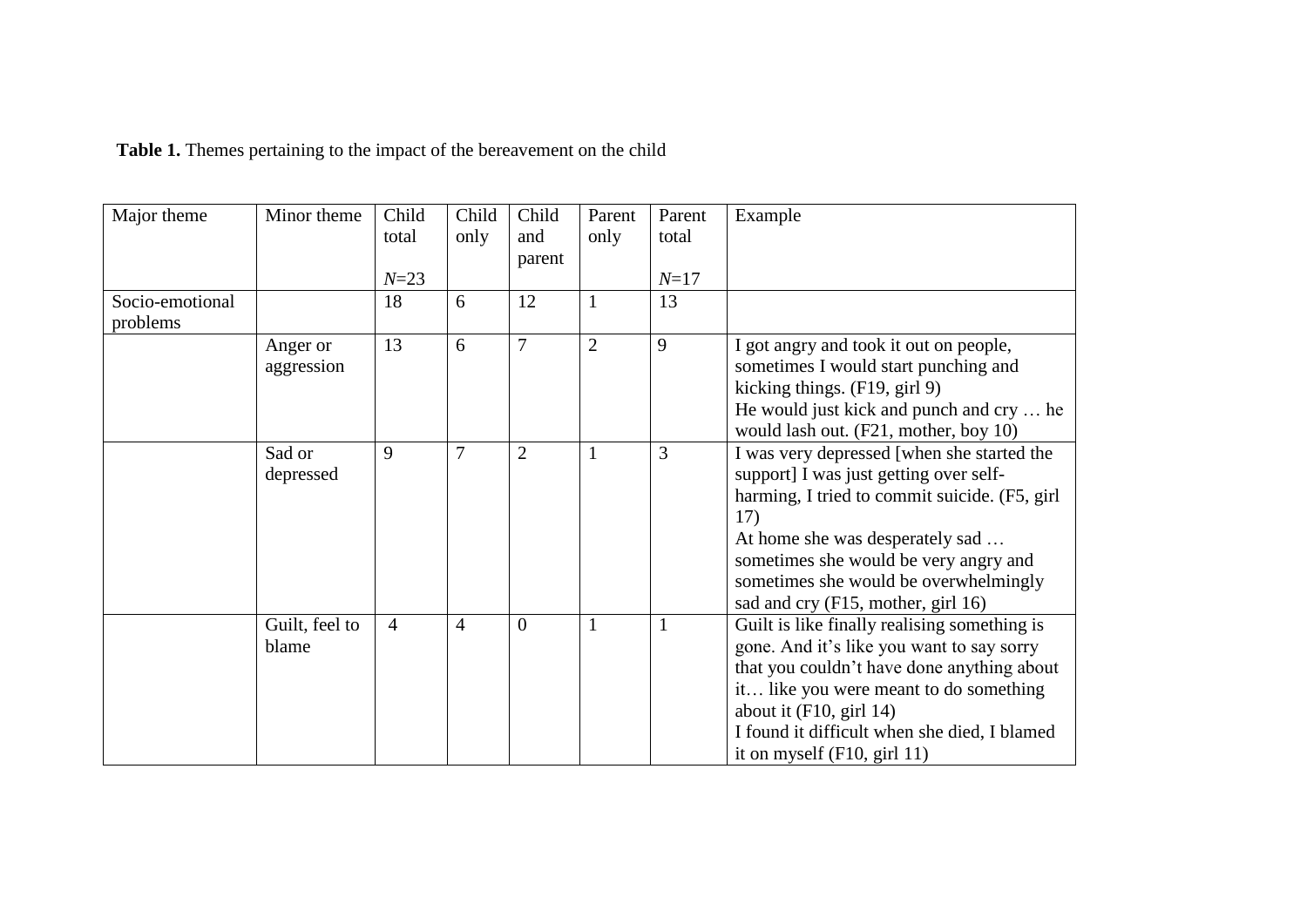| Major theme     | Minor theme    | Child          | Child          | Child          | Parent         | Parent   | Example                                                                            |
|-----------------|----------------|----------------|----------------|----------------|----------------|----------|------------------------------------------------------------------------------------|
|                 |                | total          | only           | and            | only           | total    |                                                                                    |
|                 |                |                |                | parent         |                |          |                                                                                    |
|                 |                | $N = 23$       |                |                |                | $N = 17$ |                                                                                    |
| Socio-emotional |                | 18             | 6              | 12             |                | 13       |                                                                                    |
| problems        |                |                |                |                |                |          |                                                                                    |
|                 | Anger or       | 13             | 6              | $\overline{7}$ | $\overline{2}$ | 9        | I got angry and took it out on people,                                             |
|                 | aggression     |                |                |                |                |          | sometimes I would start punching and                                               |
|                 |                |                |                |                |                |          | kicking things. (F19, girl 9)                                                      |
|                 |                |                |                |                |                |          | He would just kick and punch and cry  he                                           |
|                 |                |                |                |                |                |          | would lash out. (F21, mother, boy 10)                                              |
|                 | Sad or         | 9              | $\overline{7}$ | $\overline{2}$ | $\mathbf{1}$   | 3        | I was very depressed [when she started the                                         |
|                 | depressed      |                |                |                |                |          | support] I was just getting over self-                                             |
|                 |                |                |                |                |                |          | harming, I tried to commit suicide. (F5, girl                                      |
|                 |                |                |                |                |                |          | 17)                                                                                |
|                 |                |                |                |                |                |          | At home she was desperately sad                                                    |
|                 |                |                |                |                |                |          | sometimes she would be very angry and                                              |
|                 |                |                |                |                |                |          | sometimes she would be overwhelmingly                                              |
|                 | Guilt, feel to | $\overline{4}$ | $\overline{4}$ | $\overline{0}$ | $\mathbf{1}$   |          | sad and cry (F15, mother, girl 16)<br>Guilt is like finally realising something is |
|                 | blame          |                |                |                |                |          | gone. And it's like you want to say sorry                                          |
|                 |                |                |                |                |                |          | that you couldn't have done anything about                                         |
|                 |                |                |                |                |                |          | it like you were meant to do something                                             |
|                 |                |                |                |                |                |          | about it $(F10, girl 14)$                                                          |
|                 |                |                |                |                |                |          | I found it difficult when she died, I blamed                                       |
|                 |                |                |                |                |                |          | it on myself $(F10, girl 11)$                                                      |

**Table 1.** Themes pertaining to the impact of the bereavement on the child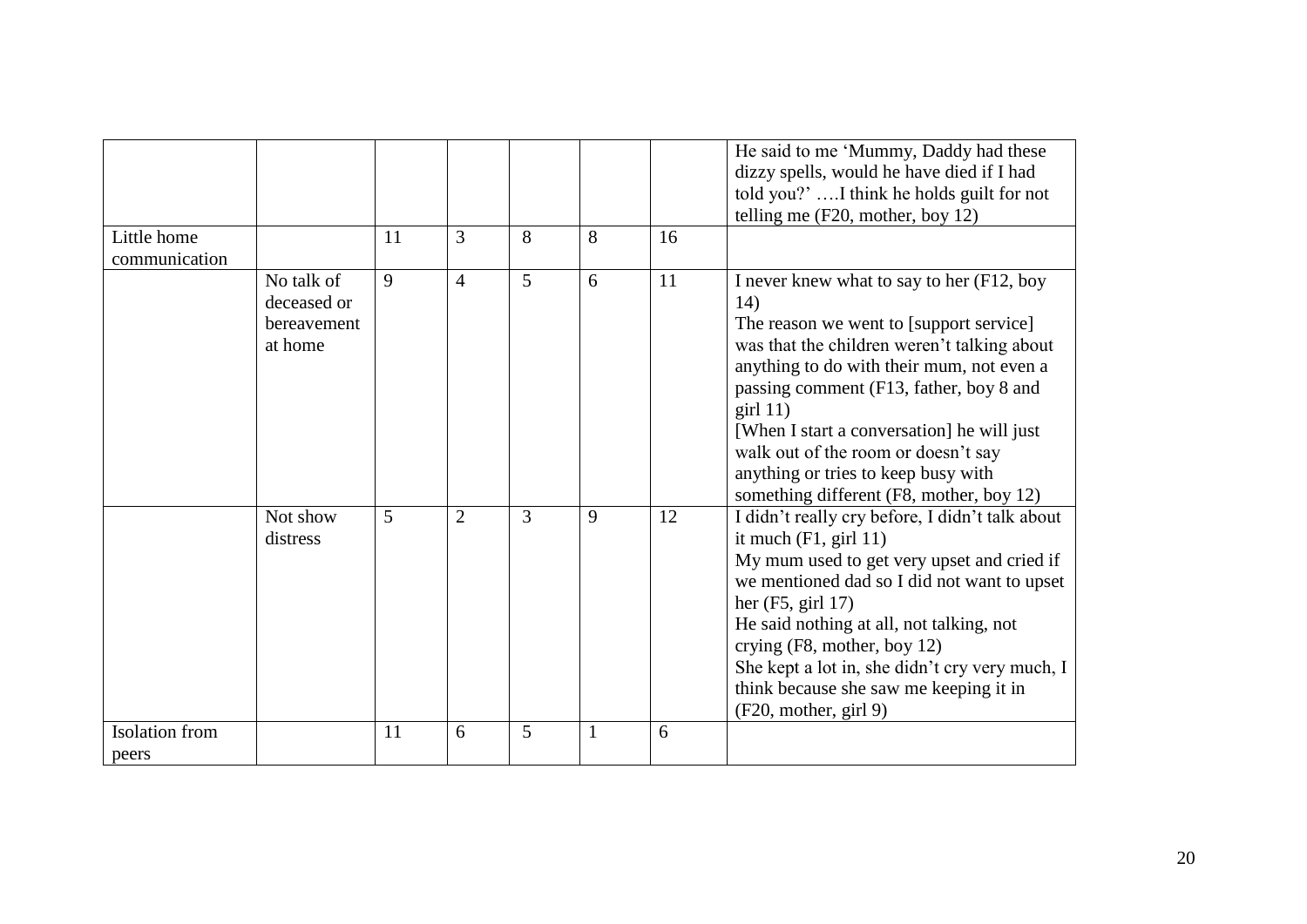|                                |                                                     |    |                |   |   |    | He said to me 'Mummy, Daddy had these<br>dizzy spells, would he have died if I had<br>told you?'I think he holds guilt for not<br>telling me $(F20, \text{mother}, \text{boy } 12)$                                                                                                                                                                                                                                     |
|--------------------------------|-----------------------------------------------------|----|----------------|---|---|----|-------------------------------------------------------------------------------------------------------------------------------------------------------------------------------------------------------------------------------------------------------------------------------------------------------------------------------------------------------------------------------------------------------------------------|
| Little home<br>communication   |                                                     | 11 | $\overline{3}$ | 8 | 8 | 16 |                                                                                                                                                                                                                                                                                                                                                                                                                         |
|                                | No talk of<br>deceased or<br>bereavement<br>at home | 9  | $\overline{4}$ | 5 | 6 | 11 | I never knew what to say to her (F12, boy<br>14)<br>The reason we went to [support service]<br>was that the children weren't talking about<br>anything to do with their mum, not even a<br>passing comment (F13, father, boy 8 and<br>$\pi$ 11)<br>[When I start a conversation] he will just<br>walk out of the room or doesn't say<br>anything or tries to keep busy with<br>something different (F8, mother, boy 12) |
|                                | Not show<br>distress                                | 5  | $\overline{2}$ | 3 | 9 | 12 | I didn't really cry before, I didn't talk about<br>it much $(F1, girl 11)$<br>My mum used to get very upset and cried if<br>we mentioned dad so I did not want to upset<br>her $(F5, girl 17)$<br>He said nothing at all, not talking, not<br>crying (F8, mother, boy 12)<br>She kept a lot in, she didn't cry very much, I<br>think because she saw me keeping it in<br>(F20, mother, girl 9)                          |
| <b>Isolation</b> from<br>peers |                                                     | 11 | 6              | 5 |   | 6  |                                                                                                                                                                                                                                                                                                                                                                                                                         |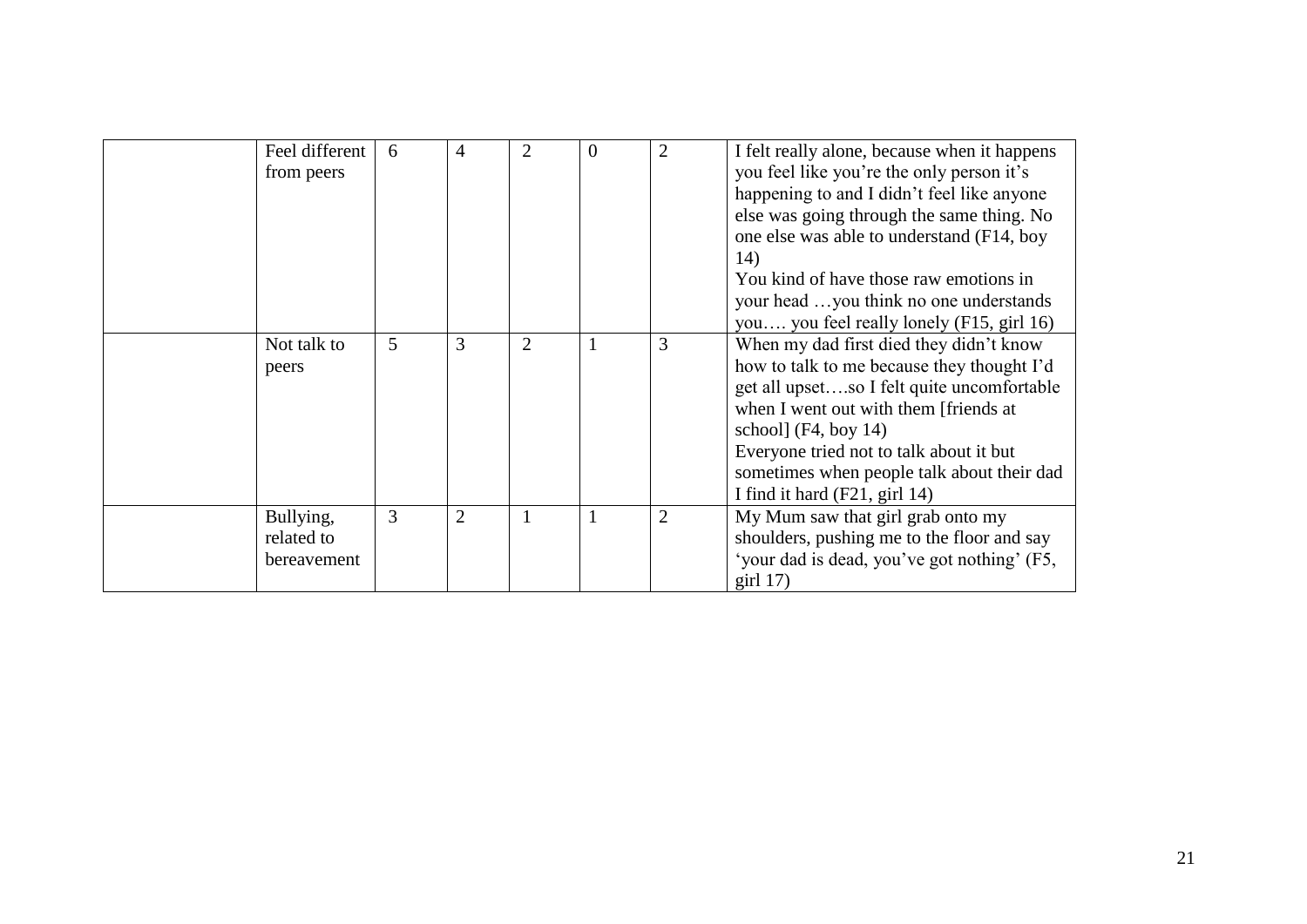| Feel different<br>from peers           | 6 | 4              | $\overline{2}$ | $\theta$ |   | I felt really alone, because when it happens<br>you feel like you're the only person it's<br>happening to and I didn't feel like anyone<br>else was going through the same thing. No<br>one else was able to understand (F14, boy<br>14)<br>You kind of have those raw emotions in<br>your head you think no one understands<br>you you feel really lonely (F15, girl 16) |
|----------------------------------------|---|----------------|----------------|----------|---|---------------------------------------------------------------------------------------------------------------------------------------------------------------------------------------------------------------------------------------------------------------------------------------------------------------------------------------------------------------------------|
| Not talk to<br>peers                   | 5 | 3              | $\overline{2}$ |          | 3 | When my dad first died they didn't know<br>how to talk to me because they thought I'd<br>get all upsetso I felt quite uncomfortable<br>when I went out with them [friends at<br>school] $(F4, boy 14)$<br>Everyone tried not to talk about it but<br>sometimes when people talk about their dad<br>I find it hard (F21, girl 14)                                          |
| Bullying,<br>related to<br>bereavement | 3 | $\overline{2}$ | $\mathbf{1}$   |          |   | My Mum saw that girl grab onto my<br>shoulders, pushing me to the floor and say<br>'your dad is dead, you've got nothing' (F5,<br>$\pi$ 17)                                                                                                                                                                                                                               |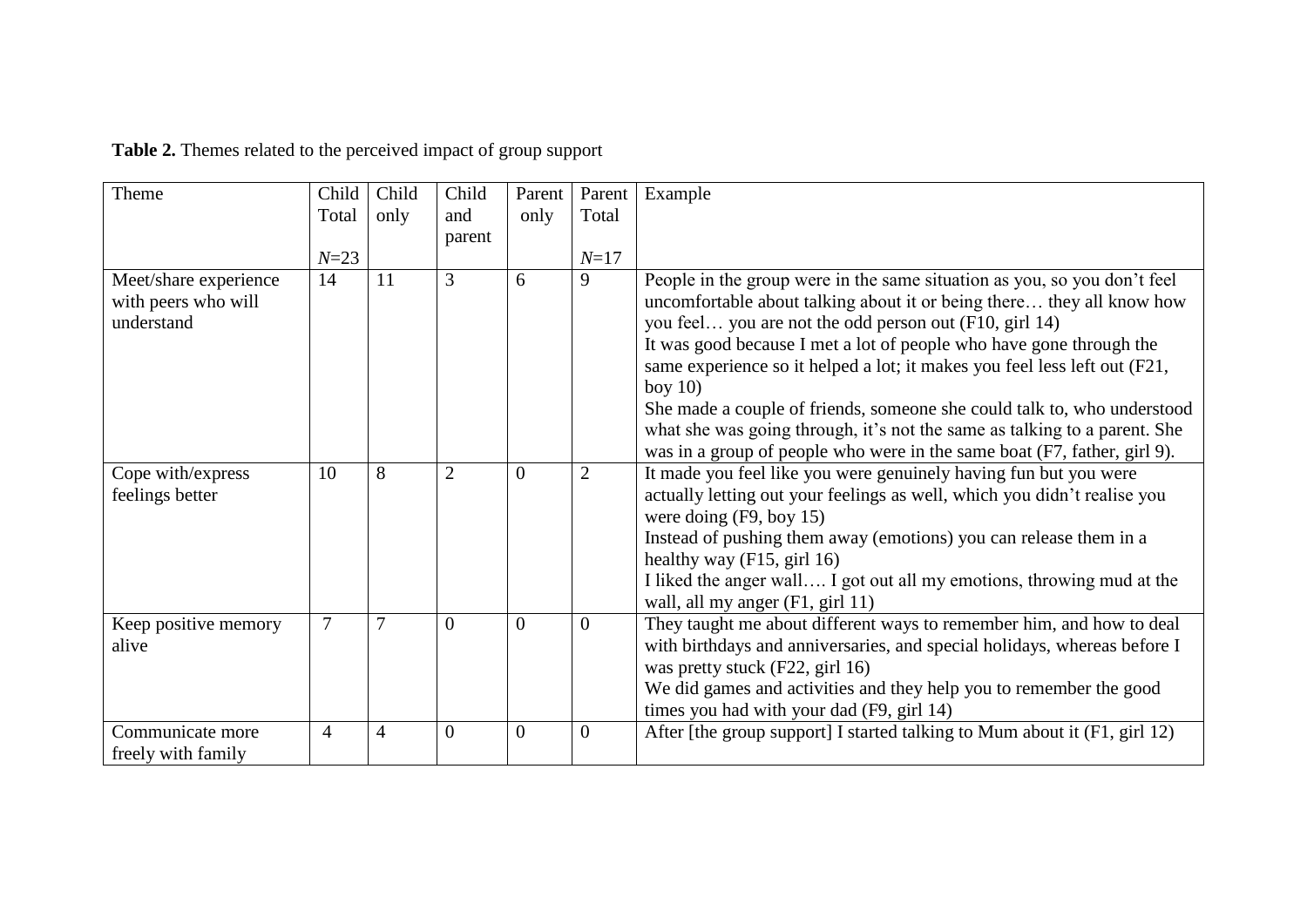| Theme                                                      | Child          | Child          | Child          | Parent         | Parent         | Example                                                                                                                                                                                                                                                                                                                                                                                                                                                                                                                                                                                                         |
|------------------------------------------------------------|----------------|----------------|----------------|----------------|----------------|-----------------------------------------------------------------------------------------------------------------------------------------------------------------------------------------------------------------------------------------------------------------------------------------------------------------------------------------------------------------------------------------------------------------------------------------------------------------------------------------------------------------------------------------------------------------------------------------------------------------|
|                                                            | Total          | only           | and            | only           | Total          |                                                                                                                                                                                                                                                                                                                                                                                                                                                                                                                                                                                                                 |
|                                                            |                |                | parent         |                |                |                                                                                                                                                                                                                                                                                                                                                                                                                                                                                                                                                                                                                 |
|                                                            | $N = 23$       |                |                |                | $N = 17$       |                                                                                                                                                                                                                                                                                                                                                                                                                                                                                                                                                                                                                 |
| Meet/share experience<br>with peers who will<br>understand | 14             | 11             | 3              | 6              | 9              | People in the group were in the same situation as you, so you don't feel<br>uncomfortable about talking about it or being there they all know how<br>you feel you are not the odd person out (F10, girl 14)<br>It was good because I met a lot of people who have gone through the<br>same experience so it helped a lot; it makes you feel less left out (F21,<br>boy $10$<br>She made a couple of friends, someone she could talk to, who understood<br>what she was going through, it's not the same as talking to a parent. She<br>was in a group of people who were in the same boat (F7, father, girl 9). |
| Cope with/express<br>feelings better                       | 10             | 8              | $\overline{2}$ | $\overline{0}$ | $\overline{2}$ | It made you feel like you were genuinely having fun but you were<br>actually letting out your feelings as well, which you didn't realise you<br>were doing $(F9, boy 15)$<br>Instead of pushing them away (emotions) you can release them in a<br>healthy way $(F15, girl 16)$<br>I liked the anger wall I got out all my emotions, throwing mud at the<br>wall, all my anger (F1, girl 11)                                                                                                                                                                                                                     |
| Keep positive memory<br>alive                              | $\overline{7}$ | $\tau$         | $\overline{0}$ | $\overline{0}$ | $\overline{0}$ | They taught me about different ways to remember him, and how to deal<br>with birthdays and anniversaries, and special holidays, whereas before I<br>was pretty stuck (F22, girl 16)<br>We did games and activities and they help you to remember the good<br>times you had with your dad (F9, girl 14)                                                                                                                                                                                                                                                                                                          |
| Communicate more<br>freely with family                     | $\overline{4}$ | $\overline{4}$ | $\overline{0}$ | $\overline{0}$ | $\overline{0}$ | After [the group support] I started talking to Mum about it (F1, girl 12)                                                                                                                                                                                                                                                                                                                                                                                                                                                                                                                                       |

**Table 2.** Themes related to the perceived impact of group support